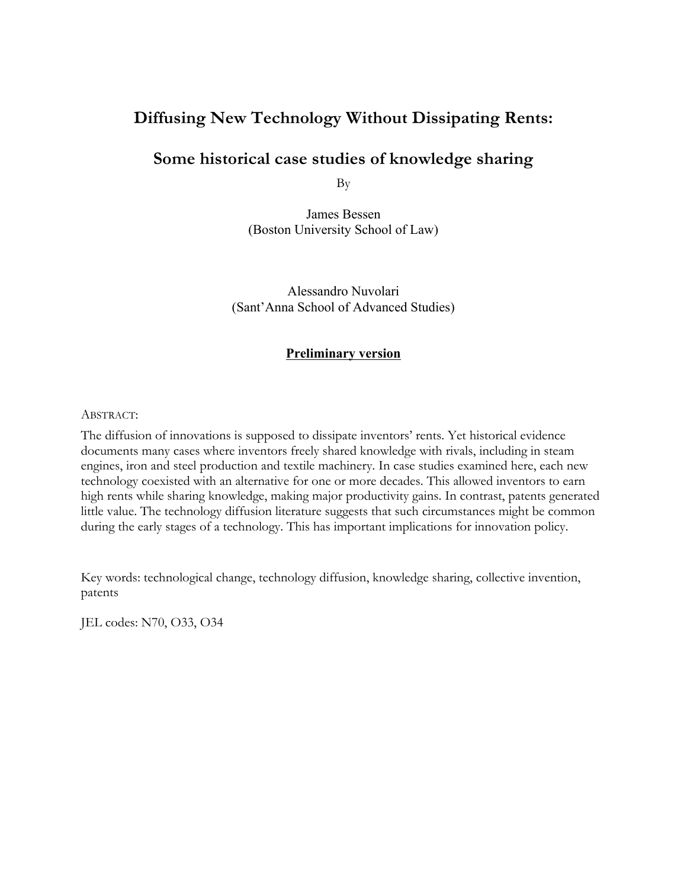# **Diffusing New Technology Without Dissipating Rents:**

# **Some historical case studies of knowledge sharing**

By

James Bessen (Boston University School of Law)

Alessandro Nuvolari (Sant'Anna School of Advanced Studies)

#### **Preliminary version**

#### ABSTRACT:

The diffusion of innovations is supposed to dissipate inventors' rents. Yet historical evidence documents many cases where inventors freely shared knowledge with rivals, including in steam engines, iron and steel production and textile machinery. In case studies examined here, each new technology coexisted with an alternative for one or more decades. This allowed inventors to earn high rents while sharing knowledge, making major productivity gains. In contrast, patents generated little value. The technology diffusion literature suggests that such circumstances might be common during the early stages of a technology. This has important implications for innovation policy.

Key words: technological change, technology diffusion, knowledge sharing, collective invention, patents

JEL codes: N70, O33, O34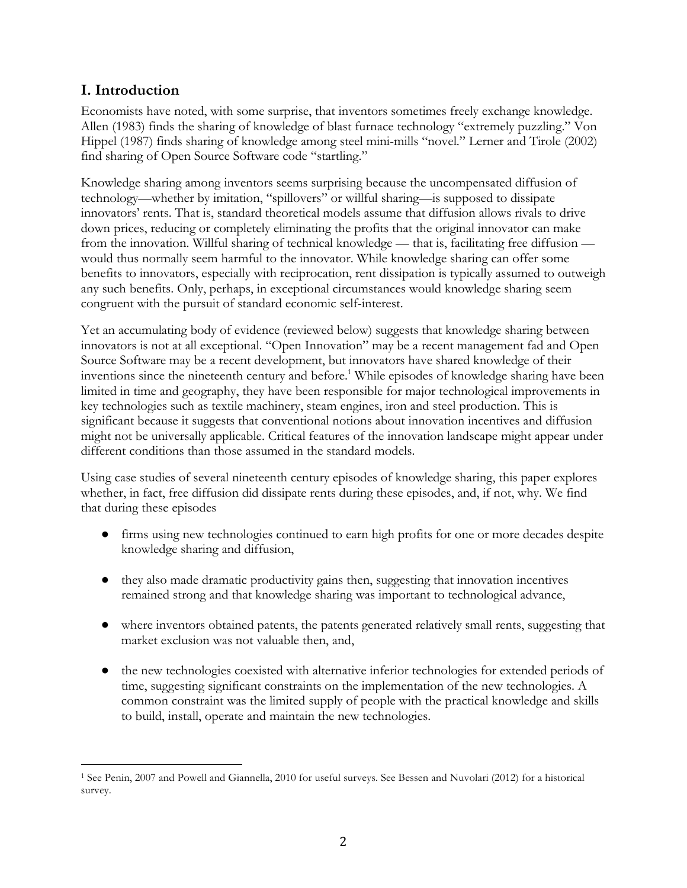## **I. Introduction**

Economists have noted, with some surprise, that inventors sometimes freely exchange knowledge. Allen (1983) finds the sharing of knowledge of blast furnace technology "extremely puzzling." Von Hippel (1987) finds sharing of knowledge among steel mini-mills "novel." Lerner and Tirole (2002) find sharing of Open Source Software code "startling."

Knowledge sharing among inventors seems surprising because the uncompensated diffusion of technology—whether by imitation, "spillovers" or willful sharing—is supposed to dissipate innovators' rents. That is, standard theoretical models assume that diffusion allows rivals to drive down prices, reducing or completely eliminating the profits that the original innovator can make from the innovation. Willful sharing of technical knowledge — that is, facilitating free diffusion would thus normally seem harmful to the innovator. While knowledge sharing can offer some benefits to innovators, especially with reciprocation, rent dissipation is typically assumed to outweigh any such benefits. Only, perhaps, in exceptional circumstances would knowledge sharing seem congruent with the pursuit of standard economic self-interest.

Yet an accumulating body of evidence (reviewed below) suggests that knowledge sharing between innovators is not at all exceptional. "Open Innovation" may be a recent management fad and Open Source Software may be a recent development, but innovators have shared knowledge of their inventions since the nineteenth century and before. <sup>1</sup> While episodes of knowledge sharing have been limited in time and geography, they have been responsible for major technological improvements in key technologies such as textile machinery, steam engines, iron and steel production. This is significant because it suggests that conventional notions about innovation incentives and diffusion might not be universally applicable. Critical features of the innovation landscape might appear under different conditions than those assumed in the standard models.

Using case studies of several nineteenth century episodes of knowledge sharing, this paper explores whether, in fact, free diffusion did dissipate rents during these episodes, and, if not, why. We find that during these episodes

- firms using new technologies continued to earn high profits for one or more decades despite knowledge sharing and diffusion,
- they also made dramatic productivity gains then, suggesting that innovation incentives remained strong and that knowledge sharing was important to technological advance,
- where inventors obtained patents, the patents generated relatively small rents, suggesting that market exclusion was not valuable then, and,
- the new technologies coexisted with alternative inferior technologies for extended periods of time, suggesting significant constraints on the implementation of the new technologies. A common constraint was the limited supply of people with the practical knowledge and skills to build, install, operate and maintain the new technologies.

 <sup>1</sup> See Penin, 2007 and Powell and Giannella, 2010 for useful surveys. See Bessen and Nuvolari (2012) for a historical survey.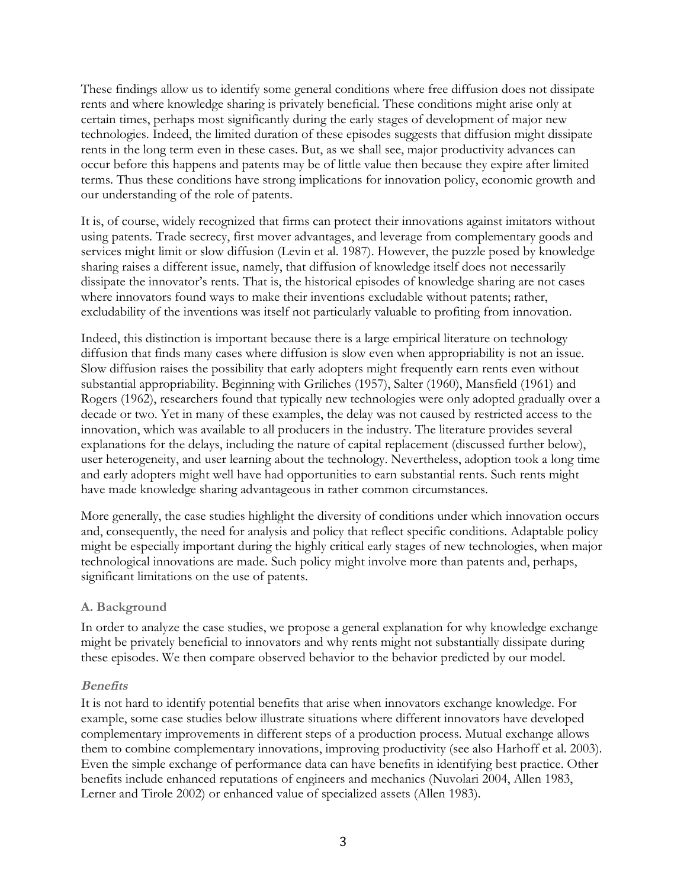These findings allow us to identify some general conditions where free diffusion does not dissipate rents and where knowledge sharing is privately beneficial. These conditions might arise only at certain times, perhaps most significantly during the early stages of development of major new technologies. Indeed, the limited duration of these episodes suggests that diffusion might dissipate rents in the long term even in these cases. But, as we shall see, major productivity advances can occur before this happens and patents may be of little value then because they expire after limited terms. Thus these conditions have strong implications for innovation policy, economic growth and our understanding of the role of patents.

It is, of course, widely recognized that firms can protect their innovations against imitators without using patents. Trade secrecy, first mover advantages, and leverage from complementary goods and services might limit or slow diffusion (Levin et al. 1987). However, the puzzle posed by knowledge sharing raises a different issue, namely, that diffusion of knowledge itself does not necessarily dissipate the innovator's rents. That is, the historical episodes of knowledge sharing are not cases where innovators found ways to make their inventions excludable without patents; rather, excludability of the inventions was itself not particularly valuable to profiting from innovation.

Indeed, this distinction is important because there is a large empirical literature on technology diffusion that finds many cases where diffusion is slow even when appropriability is not an issue. Slow diffusion raises the possibility that early adopters might frequently earn rents even without substantial appropriability. Beginning with Griliches (1957), Salter (1960), Mansfield (1961) and Rogers (1962), researchers found that typically new technologies were only adopted gradually over a decade or two. Yet in many of these examples, the delay was not caused by restricted access to the innovation, which was available to all producers in the industry. The literature provides several explanations for the delays, including the nature of capital replacement (discussed further below), user heterogeneity, and user learning about the technology. Nevertheless, adoption took a long time and early adopters might well have had opportunities to earn substantial rents. Such rents might have made knowledge sharing advantageous in rather common circumstances.

More generally, the case studies highlight the diversity of conditions under which innovation occurs and, consequently, the need for analysis and policy that reflect specific conditions. Adaptable policy might be especially important during the highly critical early stages of new technologies, when major technological innovations are made. Such policy might involve more than patents and, perhaps, significant limitations on the use of patents.

## **A. Background**

In order to analyze the case studies, we propose a general explanation for why knowledge exchange might be privately beneficial to innovators and why rents might not substantially dissipate during these episodes. We then compare observed behavior to the behavior predicted by our model.

## **Benefits**

It is not hard to identify potential benefits that arise when innovators exchange knowledge. For example, some case studies below illustrate situations where different innovators have developed complementary improvements in different steps of a production process. Mutual exchange allows them to combine complementary innovations, improving productivity (see also Harhoff et al. 2003). Even the simple exchange of performance data can have benefits in identifying best practice. Other benefits include enhanced reputations of engineers and mechanics (Nuvolari 2004, Allen 1983, Lerner and Tirole 2002) or enhanced value of specialized assets (Allen 1983).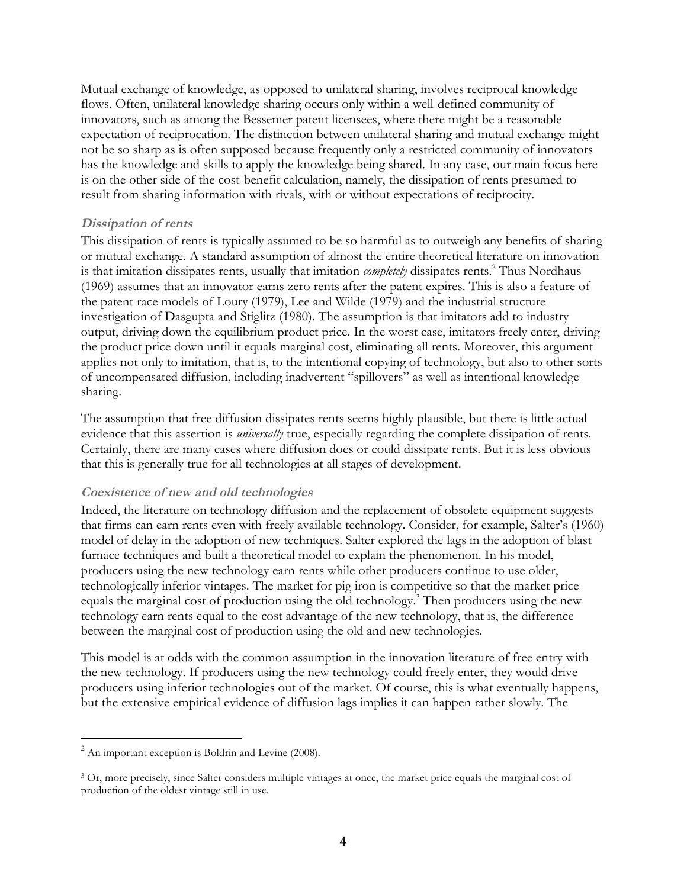Mutual exchange of knowledge, as opposed to unilateral sharing, involves reciprocal knowledge flows. Often, unilateral knowledge sharing occurs only within a well-defined community of innovators, such as among the Bessemer patent licensees, where there might be a reasonable expectation of reciprocation. The distinction between unilateral sharing and mutual exchange might not be so sharp as is often supposed because frequently only a restricted community of innovators has the knowledge and skills to apply the knowledge being shared. In any case, our main focus here is on the other side of the cost-benefit calculation, namely, the dissipation of rents presumed to result from sharing information with rivals, with or without expectations of reciprocity.

## **Dissipation of rents**

This dissipation of rents is typically assumed to be so harmful as to outweigh any benefits of sharing or mutual exchange. A standard assumption of almost the entire theoretical literature on innovation is that imitation dissipates rents, usually that imitation *completely* dissipates rents.<sup>2</sup> Thus Nordhaus (1969) assumes that an innovator earns zero rents after the patent expires. This is also a feature of the patent race models of Loury (1979), Lee and Wilde (1979) and the industrial structure investigation of Dasgupta and Stiglitz (1980). The assumption is that imitators add to industry output, driving down the equilibrium product price. In the worst case, imitators freely enter, driving the product price down until it equals marginal cost, eliminating all rents. Moreover, this argument applies not only to imitation, that is, to the intentional copying of technology, but also to other sorts of uncompensated diffusion, including inadvertent "spillovers" as well as intentional knowledge sharing.

The assumption that free diffusion dissipates rents seems highly plausible, but there is little actual evidence that this assertion is *universally* true, especially regarding the complete dissipation of rents. Certainly, there are many cases where diffusion does or could dissipate rents. But it is less obvious that this is generally true for all technologies at all stages of development.

## **Coexistence of new and old technologies**

Indeed, the literature on technology diffusion and the replacement of obsolete equipment suggests that firms can earn rents even with freely available technology. Consider, for example, Salter's (1960) model of delay in the adoption of new techniques. Salter explored the lags in the adoption of blast furnace techniques and built a theoretical model to explain the phenomenon. In his model, producers using the new technology earn rents while other producers continue to use older, technologically inferior vintages. The market for pig iron is competitive so that the market price equals the marginal cost of production using the old technology.<sup>3</sup> Then producers using the new technology earn rents equal to the cost advantage of the new technology, that is, the difference between the marginal cost of production using the old and new technologies.

This model is at odds with the common assumption in the innovation literature of free entry with the new technology. If producers using the new technology could freely enter, they would drive producers using inferior technologies out of the market. Of course, this is what eventually happens, but the extensive empirical evidence of diffusion lags implies it can happen rather slowly. The

 $2$  An important exception is Boldrin and Levine (2008).

<sup>&</sup>lt;sup>3</sup> Or, more precisely, since Salter considers multiple vintages at once, the market price equals the marginal cost of production of the oldest vintage still in use.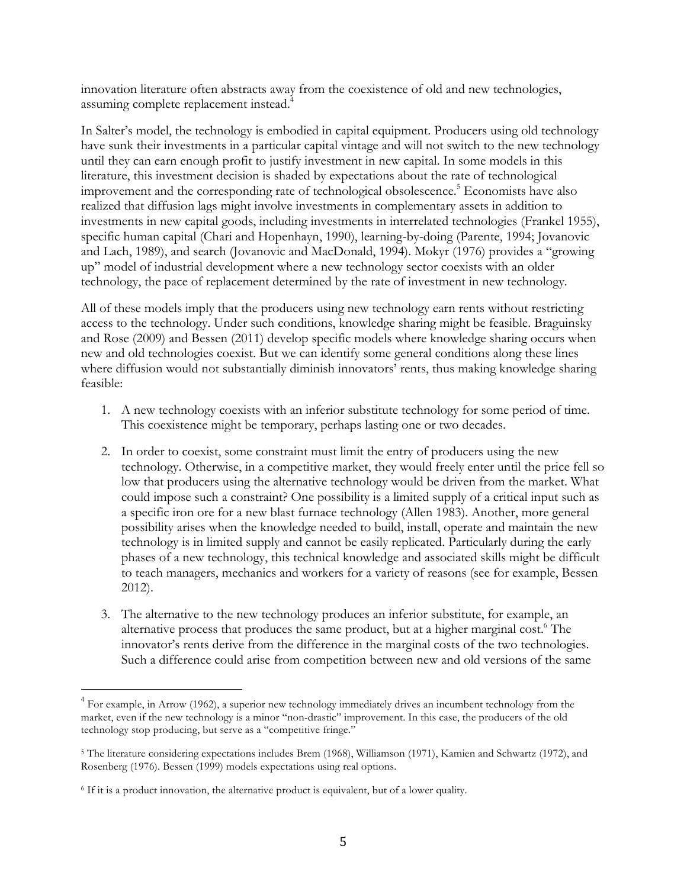innovation literature often abstracts away from the coexistence of old and new technologies, assuming complete replacement instead.4

In Salter's model, the technology is embodied in capital equipment. Producers using old technology have sunk their investments in a particular capital vintage and will not switch to the new technology until they can earn enough profit to justify investment in new capital. In some models in this literature, this investment decision is shaded by expectations about the rate of technological improvement and the corresponding rate of technological obsolescence.<sup>5</sup> Economists have also realized that diffusion lags might involve investments in complementary assets in addition to investments in new capital goods, including investments in interrelated technologies (Frankel 1955), specific human capital (Chari and Hopenhayn, 1990), learning-by-doing (Parente, 1994; Jovanovic and Lach, 1989), and search (Jovanovic and MacDonald, 1994). Mokyr (1976) provides a "growing up" model of industrial development where a new technology sector coexists with an older technology, the pace of replacement determined by the rate of investment in new technology.

All of these models imply that the producers using new technology earn rents without restricting access to the technology. Under such conditions, knowledge sharing might be feasible. Braguinsky and Rose (2009) and Bessen (2011) develop specific models where knowledge sharing occurs when new and old technologies coexist. But we can identify some general conditions along these lines where diffusion would not substantially diminish innovators' rents, thus making knowledge sharing feasible:

- 1. A new technology coexists with an inferior substitute technology for some period of time. This coexistence might be temporary, perhaps lasting one or two decades.
- 2. In order to coexist, some constraint must limit the entry of producers using the new technology. Otherwise, in a competitive market, they would freely enter until the price fell so low that producers using the alternative technology would be driven from the market. What could impose such a constraint? One possibility is a limited supply of a critical input such as a specific iron ore for a new blast furnace technology (Allen 1983). Another, more general possibility arises when the knowledge needed to build, install, operate and maintain the new technology is in limited supply and cannot be easily replicated. Particularly during the early phases of a new technology, this technical knowledge and associated skills might be difficult to teach managers, mechanics and workers for a variety of reasons (see for example, Bessen 2012).
- 3. The alternative to the new technology produces an inferior substitute, for example, an alternative process that produces the same product, but at a higher marginal cost.<sup>6</sup> The innovator's rents derive from the difference in the marginal costs of the two technologies. Such a difference could arise from competition between new and old versions of the same

 $4$  For example, in Arrow (1962), a superior new technology immediately drives an incumbent technology from the market, even if the new technology is a minor "non-drastic" improvement. In this case, the producers of the old technology stop producing, but serve as a "competitive fringe."

<sup>5</sup> The literature considering expectations includes Brem (1968), Williamson (1971), Kamien and Schwartz (1972), and Rosenberg (1976). Bessen (1999) models expectations using real options.

<sup>6</sup> If it is a product innovation, the alternative product is equivalent, but of a lower quality.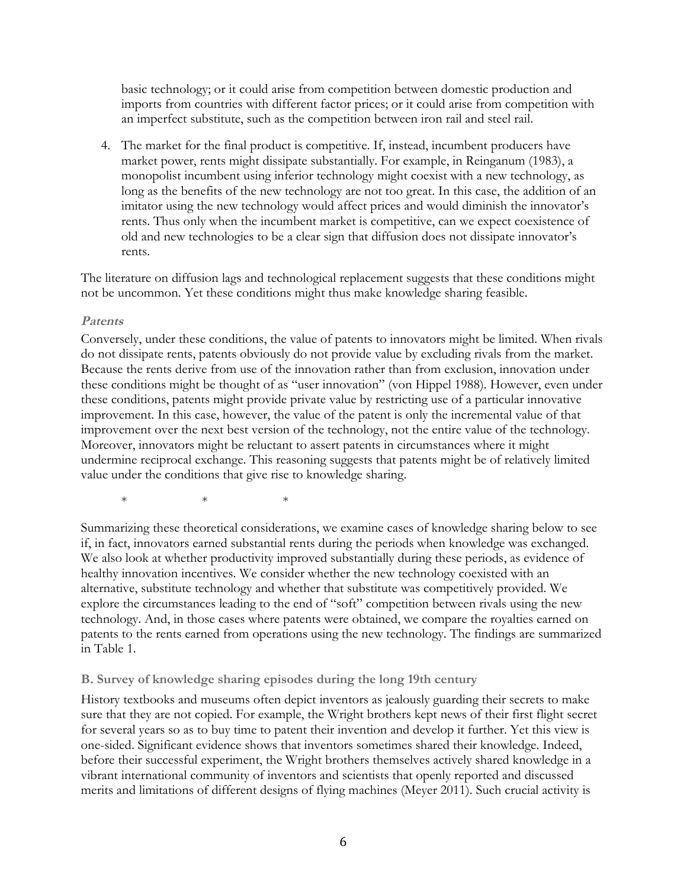basic technology; or it could arise from competition between domestic production and imports from countries with different factor prices; or it could arise from competition with an imperfect substitute, such as the competition between iron rail and steel rail.

4. The market for the final product is competitive. If, instead, incumbent producers have market power, rents might dissipate substantially. For example, in Reinganum (1983), a monopolist incumbent using inferior technology might coexist with a new technology, as long as the benefits of the new technology are not too great. In this case, the addition of an imitator using the new technology would affect prices and would diminish the innovator's rents. Thus only when the incumbent market is competitive, can we expect coexistence of old and new technologies to be a clear sign that diffusion does not dissipate innovator's rents.

The literature on diffusion lags and technological replacement suggests that these conditions might not be uncommon. Yet these conditions might thus make knowledge sharing feasible.

#### **Patents**

Conversely, under these conditions, the value of patents to innovators might be limited. When rivals do not dissipate rents, patents obviously do not provide value by excluding rivals from the market. Because the rents derive from use of the innovation rather than from exclusion, innovation under these conditions might be thought of as "user innovation" (von Hippel 1988). However, even under these conditions, patents might provide private value by restricting use of a particular innovative improvement. In this case, however, the value of the patent is only the incremental value of that improvement over the next best version of the technology, not the entire value of the technology. Moreover, innovators might be reluctant to assert patents in circumstances where it might undermine reciprocal exchange. This reasoning suggests that patents might be of relatively limited value under the conditions that give rise to knowledge sharing.

 $*$  \* \* \*

Summarizing these theoretical considerations, we examine cases of knowledge sharing below to see if, in fact, innovators earned substantial rents during the periods when knowledge was exchanged. We also look at whether productivity improved substantially during these periods, as evidence of healthy innovation incentives. We consider whether the new technology coexisted with an alternative, substitute technology and whether that substitute was competitively provided. We explore the circumstances leading to the end of "soft" competition between rivals using the new technology. And, in those cases where patents were obtained, we compare the royalties earned on patents to the rents earned from operations using the new technology. The findings are summarized in Table 1.

#### **B. Survey of knowledge sharing episodes during the long 19th century**

History textbooks and museums often depict inventors as jealously guarding their secrets to make sure that they are not copied. For example, the Wright brothers kept news of their first flight secret for several years so as to buy time to patent their invention and develop it further. Yet this view is one-sided. Significant evidence shows that inventors sometimes shared their knowledge. Indeed, before their successful experiment, the Wright brothers themselves actively shared knowledge in a vibrant international community of inventors and scientists that openly reported and discussed merits and limitations of different designs of flying machines (Meyer 2011). Such crucial activity is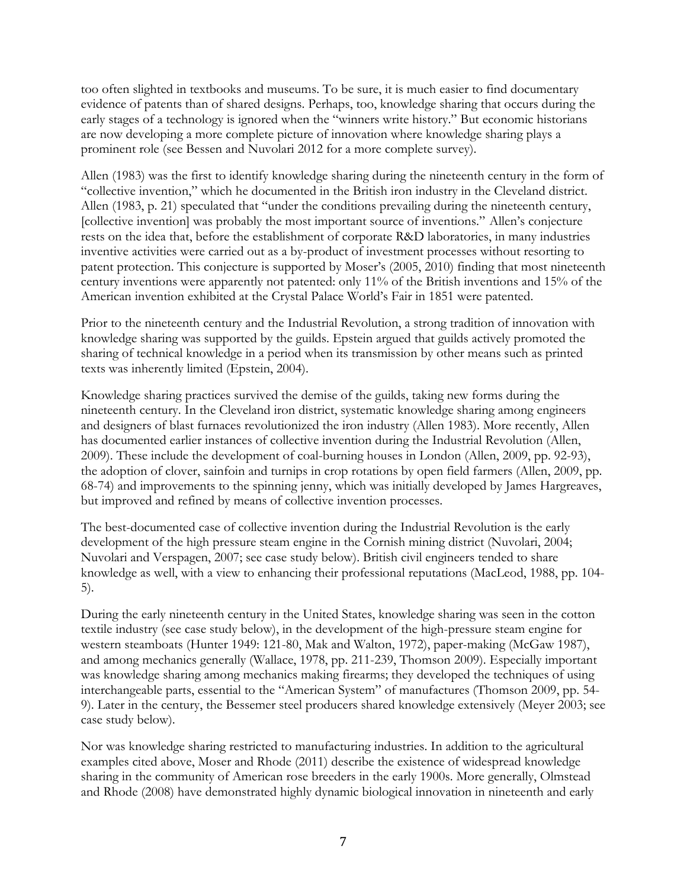too often slighted in textbooks and museums. To be sure, it is much easier to find documentary evidence of patents than of shared designs. Perhaps, too, knowledge sharing that occurs during the early stages of a technology is ignored when the "winners write history." But economic historians are now developing a more complete picture of innovation where knowledge sharing plays a prominent role (see Bessen and Nuvolari 2012 for a more complete survey).

Allen (1983) was the first to identify knowledge sharing during the nineteenth century in the form of "collective invention," which he documented in the British iron industry in the Cleveland district. Allen (1983, p. 21) speculated that "under the conditions prevailing during the nineteenth century, [collective invention] was probably the most important source of inventions." Allen's conjecture rests on the idea that, before the establishment of corporate R&D laboratories, in many industries inventive activities were carried out as a by-product of investment processes without resorting to patent protection. This conjecture is supported by Moser's (2005, 2010) finding that most nineteenth century inventions were apparently not patented: only 11% of the British inventions and 15% of the American invention exhibited at the Crystal Palace World's Fair in 1851 were patented.

Prior to the nineteenth century and the Industrial Revolution, a strong tradition of innovation with knowledge sharing was supported by the guilds. Epstein argued that guilds actively promoted the sharing of technical knowledge in a period when its transmission by other means such as printed texts was inherently limited (Epstein, 2004).

Knowledge sharing practices survived the demise of the guilds, taking new forms during the nineteenth century. In the Cleveland iron district, systematic knowledge sharing among engineers and designers of blast furnaces revolutionized the iron industry (Allen 1983). More recently, Allen has documented earlier instances of collective invention during the Industrial Revolution (Allen, 2009). These include the development of coal-burning houses in London (Allen, 2009, pp. 92-93), the adoption of clover, sainfoin and turnips in crop rotations by open field farmers (Allen, 2009, pp. 68-74) and improvements to the spinning jenny, which was initially developed by James Hargreaves, but improved and refined by means of collective invention processes.

The best-documented case of collective invention during the Industrial Revolution is the early development of the high pressure steam engine in the Cornish mining district (Nuvolari, 2004; Nuvolari and Verspagen, 2007; see case study below). British civil engineers tended to share knowledge as well, with a view to enhancing their professional reputations (MacLeod, 1988, pp. 104- 5).

During the early nineteenth century in the United States, knowledge sharing was seen in the cotton textile industry (see case study below), in the development of the high-pressure steam engine for western steamboats (Hunter 1949: 121-80, Mak and Walton, 1972), paper-making (McGaw 1987), and among mechanics generally (Wallace, 1978, pp. 211-239, Thomson 2009). Especially important was knowledge sharing among mechanics making firearms; they developed the techniques of using interchangeable parts, essential to the "American System" of manufactures (Thomson 2009, pp. 54- 9). Later in the century, the Bessemer steel producers shared knowledge extensively (Meyer 2003; see case study below).

Nor was knowledge sharing restricted to manufacturing industries. In addition to the agricultural examples cited above, Moser and Rhode (2011) describe the existence of widespread knowledge sharing in the community of American rose breeders in the early 1900s. More generally, Olmstead and Rhode (2008) have demonstrated highly dynamic biological innovation in nineteenth and early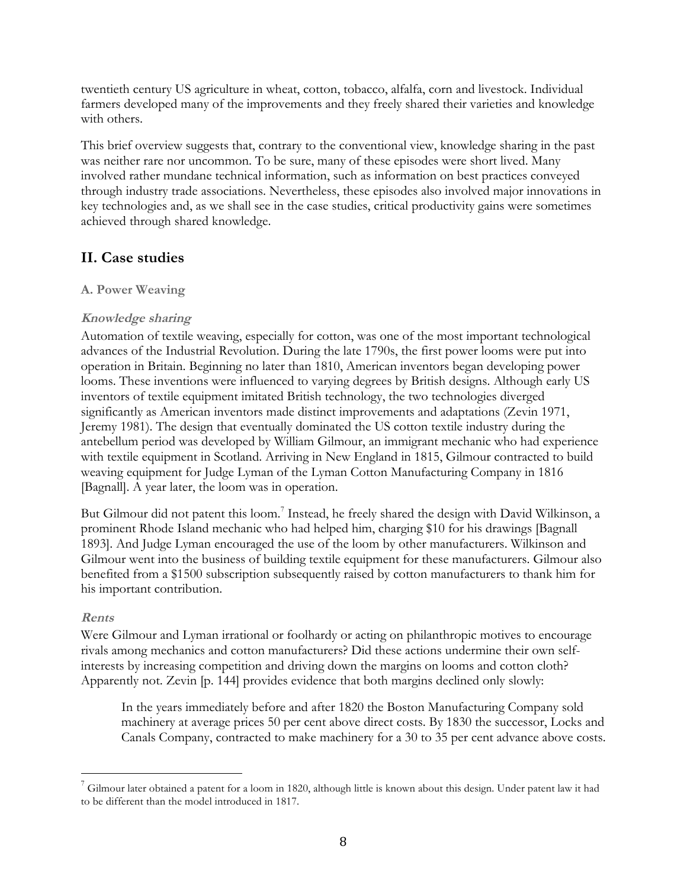twentieth century US agriculture in wheat, cotton, tobacco, alfalfa, corn and livestock. Individual farmers developed many of the improvements and they freely shared their varieties and knowledge with others.

This brief overview suggests that, contrary to the conventional view, knowledge sharing in the past was neither rare nor uncommon. To be sure, many of these episodes were short lived. Many involved rather mundane technical information, such as information on best practices conveyed through industry trade associations. Nevertheless, these episodes also involved major innovations in key technologies and, as we shall see in the case studies, critical productivity gains were sometimes achieved through shared knowledge.

## **II. Case studies**

## **A. Power Weaving**

## **Knowledge sharing**

Automation of textile weaving, especially for cotton, was one of the most important technological advances of the Industrial Revolution. During the late 1790s, the first power looms were put into operation in Britain. Beginning no later than 1810, American inventors began developing power looms. These inventions were influenced to varying degrees by British designs. Although early US inventors of textile equipment imitated British technology, the two technologies diverged significantly as American inventors made distinct improvements and adaptations (Zevin 1971, Jeremy 1981). The design that eventually dominated the US cotton textile industry during the antebellum period was developed by William Gilmour, an immigrant mechanic who had experience with textile equipment in Scotland. Arriving in New England in 1815, Gilmour contracted to build weaving equipment for Judge Lyman of the Lyman Cotton Manufacturing Company in 1816 [Bagnall]. A year later, the loom was in operation.

But Gilmour did not patent this loom.<sup>7</sup> Instead, he freely shared the design with David Wilkinson, a prominent Rhode Island mechanic who had helped him, charging \$10 for his drawings [Bagnall 1893]. And Judge Lyman encouraged the use of the loom by other manufacturers. Wilkinson and Gilmour went into the business of building textile equipment for these manufacturers. Gilmour also benefited from a \$1500 subscription subsequently raised by cotton manufacturers to thank him for his important contribution.

## **Rents**

Were Gilmour and Lyman irrational or foolhardy or acting on philanthropic motives to encourage rivals among mechanics and cotton manufacturers? Did these actions undermine their own selfinterests by increasing competition and driving down the margins on looms and cotton cloth? Apparently not. Zevin [p. 144] provides evidence that both margins declined only slowly:

In the years immediately before and after 1820 the Boston Manufacturing Company sold machinery at average prices 50 per cent above direct costs. By 1830 the successor, Locks and Canals Company, contracted to make machinery for a 30 to 35 per cent advance above costs.

 $7$  Gilmour later obtained a patent for a loom in 1820, although little is known about this design. Under patent law it had to be different than the model introduced in 1817.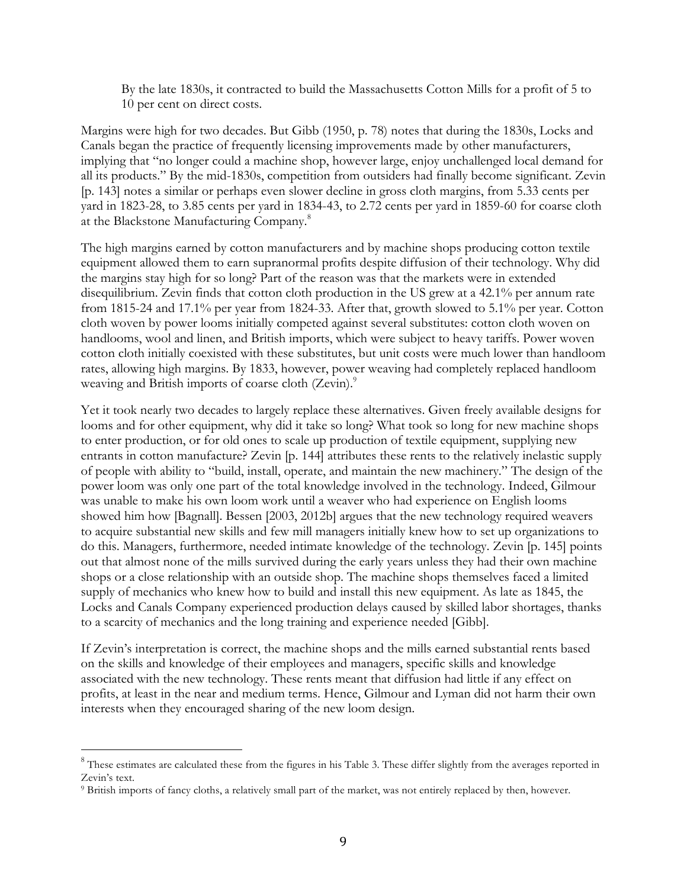By the late 1830s, it contracted to build the Massachusetts Cotton Mills for a profit of 5 to 10 per cent on direct costs.

Margins were high for two decades. But Gibb (1950, p. 78) notes that during the 1830s, Locks and Canals began the practice of frequently licensing improvements made by other manufacturers, implying that "no longer could a machine shop, however large, enjoy unchallenged local demand for all its products." By the mid-1830s, competition from outsiders had finally become significant. Zevin [p. 143] notes a similar or perhaps even slower decline in gross cloth margins, from 5.33 cents per yard in 1823-28, to 3.85 cents per yard in 1834-43, to 2.72 cents per yard in 1859-60 for coarse cloth at the Blackstone Manufacturing Company.8

The high margins earned by cotton manufacturers and by machine shops producing cotton textile equipment allowed them to earn supranormal profits despite diffusion of their technology. Why did the margins stay high for so long? Part of the reason was that the markets were in extended disequilibrium. Zevin finds that cotton cloth production in the US grew at a 42.1% per annum rate from 1815-24 and 17.1% per year from 1824-33. After that, growth slowed to 5.1% per year. Cotton cloth woven by power looms initially competed against several substitutes: cotton cloth woven on handlooms, wool and linen, and British imports, which were subject to heavy tariffs. Power woven cotton cloth initially coexisted with these substitutes, but unit costs were much lower than handloom rates, allowing high margins. By 1833, however, power weaving had completely replaced handloom weaving and British imports of coarse cloth (Zevin).<sup>9</sup>

Yet it took nearly two decades to largely replace these alternatives. Given freely available designs for looms and for other equipment, why did it take so long? What took so long for new machine shops to enter production, or for old ones to scale up production of textile equipment, supplying new entrants in cotton manufacture? Zevin [p. 144] attributes these rents to the relatively inelastic supply of people with ability to "build, install, operate, and maintain the new machinery." The design of the power loom was only one part of the total knowledge involved in the technology. Indeed, Gilmour was unable to make his own loom work until a weaver who had experience on English looms showed him how [Bagnall]. Bessen [2003, 2012b] argues that the new technology required weavers to acquire substantial new skills and few mill managers initially knew how to set up organizations to do this. Managers, furthermore, needed intimate knowledge of the technology. Zevin [p. 145] points out that almost none of the mills survived during the early years unless they had their own machine shops or a close relationship with an outside shop. The machine shops themselves faced a limited supply of mechanics who knew how to build and install this new equipment. As late as 1845, the Locks and Canals Company experienced production delays caused by skilled labor shortages, thanks to a scarcity of mechanics and the long training and experience needed [Gibb].

If Zevin's interpretation is correct, the machine shops and the mills earned substantial rents based on the skills and knowledge of their employees and managers, specific skills and knowledge associated with the new technology. These rents meant that diffusion had little if any effect on profits, at least in the near and medium terms. Hence, Gilmour and Lyman did not harm their own interests when they encouraged sharing of the new loom design.

<sup>&</sup>lt;sup>8</sup> These estimates are calculated these from the figures in his Table 3. These differ slightly from the averages reported in Zevin's text.

<sup>9</sup> British imports of fancy cloths, a relatively small part of the market, was not entirely replaced by then, however.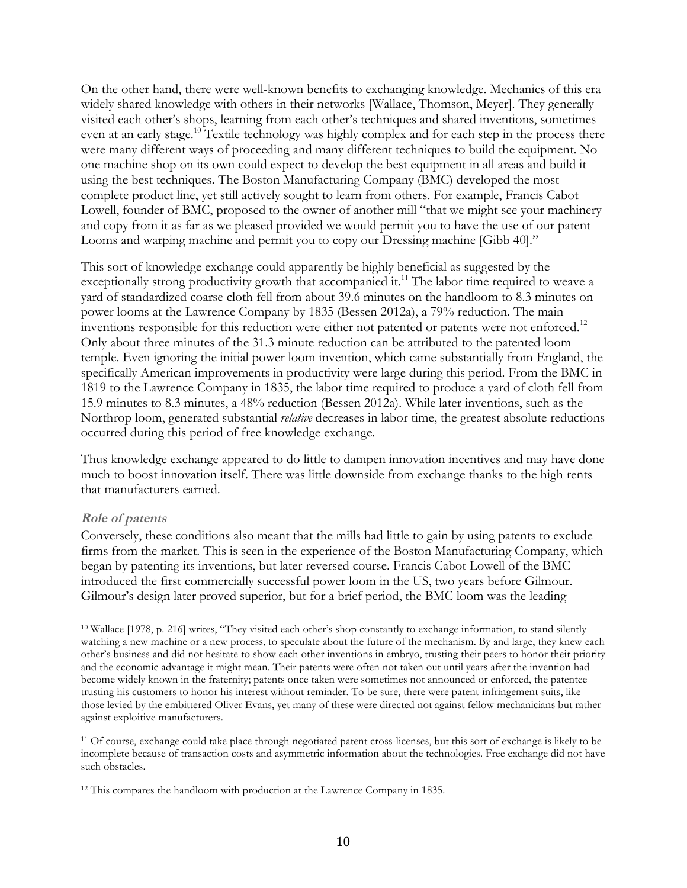On the other hand, there were well-known benefits to exchanging knowledge. Mechanics of this era widely shared knowledge with others in their networks [Wallace, Thomson, Meyer]. They generally visited each other's shops, learning from each other's techniques and shared inventions, sometimes even at an early stage.<sup>10</sup> Textile technology was highly complex and for each step in the process there were many different ways of proceeding and many different techniques to build the equipment. No one machine shop on its own could expect to develop the best equipment in all areas and build it using the best techniques. The Boston Manufacturing Company (BMC) developed the most complete product line, yet still actively sought to learn from others. For example, Francis Cabot Lowell, founder of BMC, proposed to the owner of another mill "that we might see your machinery and copy from it as far as we pleased provided we would permit you to have the use of our patent Looms and warping machine and permit you to copy our Dressing machine [Gibb 40]."

This sort of knowledge exchange could apparently be highly beneficial as suggested by the exceptionally strong productivity growth that accompanied it.<sup>11</sup> The labor time required to weave a yard of standardized coarse cloth fell from about 39.6 minutes on the handloom to 8.3 minutes on power looms at the Lawrence Company by 1835 (Bessen 2012a), a 79% reduction. The main inventions responsible for this reduction were either not patented or patents were not enforced.<sup>12</sup> Only about three minutes of the 31.3 minute reduction can be attributed to the patented loom temple. Even ignoring the initial power loom invention, which came substantially from England, the specifically American improvements in productivity were large during this period. From the BMC in 1819 to the Lawrence Company in 1835, the labor time required to produce a yard of cloth fell from 15.9 minutes to 8.3 minutes, a 48% reduction (Bessen 2012a). While later inventions, such as the Northrop loom, generated substantial *relative* decreases in labor time, the greatest absolute reductions occurred during this period of free knowledge exchange.

Thus knowledge exchange appeared to do little to dampen innovation incentives and may have done much to boost innovation itself. There was little downside from exchange thanks to the high rents that manufacturers earned.

## **Role of patents**

Conversely, these conditions also meant that the mills had little to gain by using patents to exclude firms from the market. This is seen in the experience of the Boston Manufacturing Company, which began by patenting its inventions, but later reversed course. Francis Cabot Lowell of the BMC introduced the first commercially successful power loom in the US, two years before Gilmour. Gilmour's design later proved superior, but for a brief period, the BMC loom was the leading

 <sup>10</sup> Wallace [1978, p. 216] writes, "They visited each other's shop constantly to exchange information, to stand silently watching a new machine or a new process, to speculate about the future of the mechanism. By and large, they knew each other's business and did not hesitate to show each other inventions in embryo, trusting their peers to honor their priority and the economic advantage it might mean. Their patents were often not taken out until years after the invention had become widely known in the fraternity; patents once taken were sometimes not announced or enforced, the patentee trusting his customers to honor his interest without reminder. To be sure, there were patent-infringement suits, like those levied by the embittered Oliver Evans, yet many of these were directed not against fellow mechanicians but rather against exploitive manufacturers.

<sup>&</sup>lt;sup>11</sup> Of course, exchange could take place through negotiated patent cross-licenses, but this sort of exchange is likely to be incomplete because of transaction costs and asymmetric information about the technologies. Free exchange did not have such obstacles.

<sup>12</sup> This compares the handloom with production at the Lawrence Company in 1835.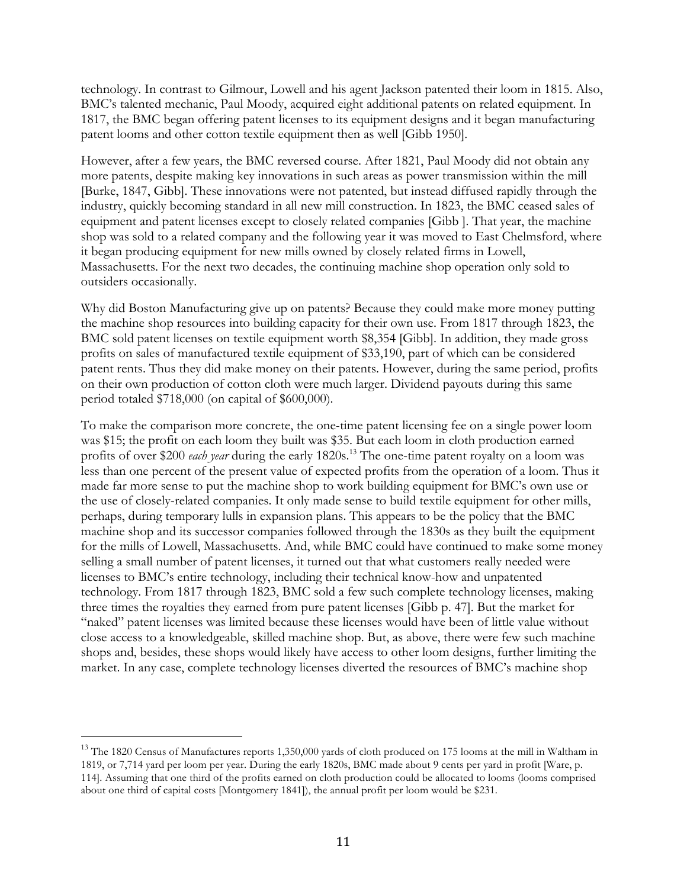technology. In contrast to Gilmour, Lowell and his agent Jackson patented their loom in 1815. Also, BMC's talented mechanic, Paul Moody, acquired eight additional patents on related equipment. In 1817, the BMC began offering patent licenses to its equipment designs and it began manufacturing patent looms and other cotton textile equipment then as well [Gibb 1950].

However, after a few years, the BMC reversed course. After 1821, Paul Moody did not obtain any more patents, despite making key innovations in such areas as power transmission within the mill [Burke, 1847, Gibb]. These innovations were not patented, but instead diffused rapidly through the industry, quickly becoming standard in all new mill construction. In 1823, the BMC ceased sales of equipment and patent licenses except to closely related companies [Gibb ]. That year, the machine shop was sold to a related company and the following year it was moved to East Chelmsford, where it began producing equipment for new mills owned by closely related firms in Lowell, Massachusetts. For the next two decades, the continuing machine shop operation only sold to outsiders occasionally.

Why did Boston Manufacturing give up on patents? Because they could make more money putting the machine shop resources into building capacity for their own use. From 1817 through 1823, the BMC sold patent licenses on textile equipment worth \$8,354 [Gibb]. In addition, they made gross profits on sales of manufactured textile equipment of \$33,190, part of which can be considered patent rents. Thus they did make money on their patents. However, during the same period, profits on their own production of cotton cloth were much larger. Dividend payouts during this same period totaled \$718,000 (on capital of \$600,000).

To make the comparison more concrete, the one-time patent licensing fee on a single power loom was \$15; the profit on each loom they built was \$35. But each loom in cloth production earned profits of over \$200 *each year* during the early 1820s.<sup>13</sup> The one-time patent royalty on a loom was less than one percent of the present value of expected profits from the operation of a loom. Thus it made far more sense to put the machine shop to work building equipment for BMC's own use or the use of closely-related companies. It only made sense to build textile equipment for other mills, perhaps, during temporary lulls in expansion plans. This appears to be the policy that the BMC machine shop and its successor companies followed through the 1830s as they built the equipment for the mills of Lowell, Massachusetts. And, while BMC could have continued to make some money selling a small number of patent licenses, it turned out that what customers really needed were licenses to BMC's entire technology, including their technical know-how and unpatented technology. From 1817 through 1823, BMC sold a few such complete technology licenses, making three times the royalties they earned from pure patent licenses [Gibb p. 47]. But the market for "naked" patent licenses was limited because these licenses would have been of little value without close access to a knowledgeable, skilled machine shop. But, as above, there were few such machine shops and, besides, these shops would likely have access to other loom designs, further limiting the market. In any case, complete technology licenses diverted the resources of BMC's machine shop

<sup>&</sup>lt;sup>13</sup> The 1820 Census of Manufactures reports 1,350,000 yards of cloth produced on 175 looms at the mill in Waltham in 1819, or 7,714 yard per loom per year. During the early 1820s, BMC made about 9 cents per yard in profit [Ware, p. 114]. Assuming that one third of the profits earned on cloth production could be allocated to looms (looms comprised about one third of capital costs [Montgomery 1841]), the annual profit per loom would be \$231.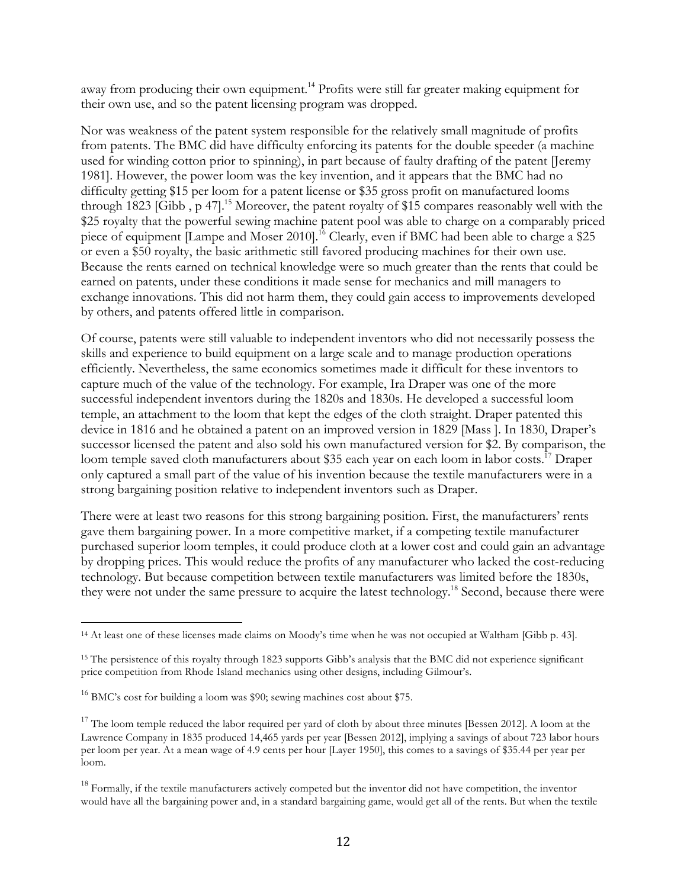away from producing their own equipment.<sup>14</sup> Profits were still far greater making equipment for their own use, and so the patent licensing program was dropped.

Nor was weakness of the patent system responsible for the relatively small magnitude of profits from patents. The BMC did have difficulty enforcing its patents for the double speeder (a machine used for winding cotton prior to spinning), in part because of faulty drafting of the patent [Jeremy 1981]. However, the power loom was the key invention, and it appears that the BMC had no difficulty getting \$15 per loom for a patent license or \$35 gross profit on manufactured looms through 1823 [Gibb, p 47].<sup>15</sup> Moreover, the patent royalty of \$15 compares reasonably well with the \$25 royalty that the powerful sewing machine patent pool was able to charge on a comparably priced piece of equipment [Lampe and Moser 2010].<sup>16</sup> Clearly, even if BMC had been able to charge a \$25 or even a \$50 royalty, the basic arithmetic still favored producing machines for their own use. Because the rents earned on technical knowledge were so much greater than the rents that could be earned on patents, under these conditions it made sense for mechanics and mill managers to exchange innovations. This did not harm them, they could gain access to improvements developed by others, and patents offered little in comparison.

Of course, patents were still valuable to independent inventors who did not necessarily possess the skills and experience to build equipment on a large scale and to manage production operations efficiently. Nevertheless, the same economics sometimes made it difficult for these inventors to capture much of the value of the technology. For example, Ira Draper was one of the more successful independent inventors during the 1820s and 1830s. He developed a successful loom temple, an attachment to the loom that kept the edges of the cloth straight. Draper patented this device in 1816 and he obtained a patent on an improved version in 1829 [Mass ]. In 1830, Draper's successor licensed the patent and also sold his own manufactured version for \$2. By comparison, the loom temple saved cloth manufacturers about \$35 each year on each loom in labor costs.<sup>17</sup> Draper only captured a small part of the value of his invention because the textile manufacturers were in a strong bargaining position relative to independent inventors such as Draper.

There were at least two reasons for this strong bargaining position. First, the manufacturers' rents gave them bargaining power. In a more competitive market, if a competing textile manufacturer purchased superior loom temples, it could produce cloth at a lower cost and could gain an advantage by dropping prices. This would reduce the profits of any manufacturer who lacked the cost-reducing technology. But because competition between textile manufacturers was limited before the 1830s, they were not under the same pressure to acquire the latest technology.<sup>18</sup> Second, because there were

 <sup>14</sup> At least one of these licenses made claims on Moody's time when he was not occupied at Waltham [Gibb p. 43].

<sup>15</sup> The persistence of this royalty through 1823 supports Gibb's analysis that the BMC did not experience significant price competition from Rhode Island mechanics using other designs, including Gilmour's.

 $^{16}$  BMC's cost for building a loom was \$90; sewing machines cost about \$75.

 $17$  The loom temple reduced the labor required per yard of cloth by about three minutes [Bessen 2012]. A loom at the Lawrence Company in 1835 produced 14,465 yards per year [Bessen 2012], implying a savings of about 723 labor hours per loom per year. At a mean wage of 4.9 cents per hour [Layer 1950], this comes to a savings of \$35.44 per year per loom.

 $18$  Formally, if the textile manufacturers actively competed but the inventor did not have competition, the inventor would have all the bargaining power and, in a standard bargaining game, would get all of the rents. But when the textile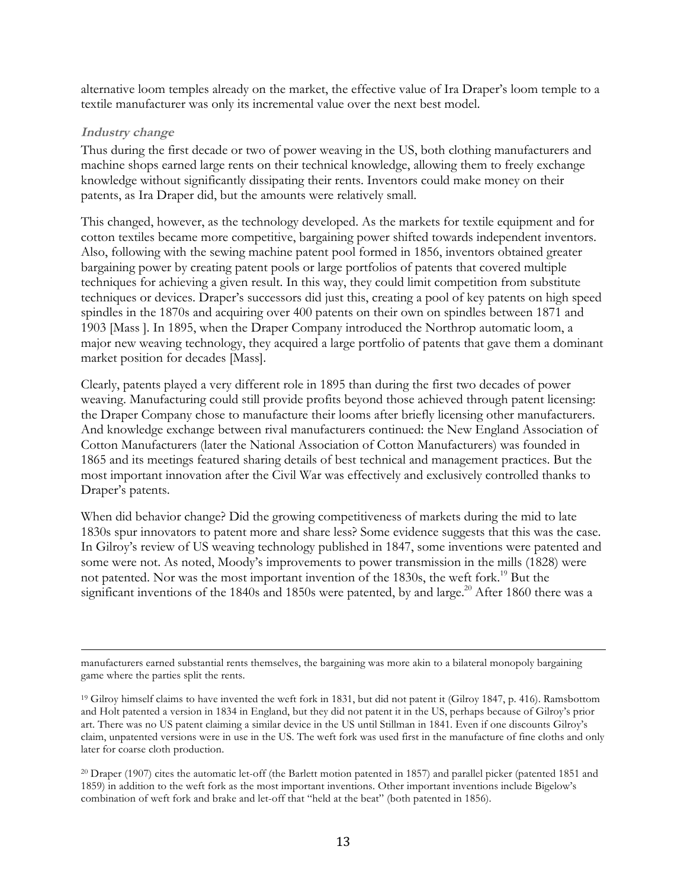alternative loom temples already on the market, the effective value of Ira Draper's loom temple to a textile manufacturer was only its incremental value over the next best model.

#### **Industry change**

Thus during the first decade or two of power weaving in the US, both clothing manufacturers and machine shops earned large rents on their technical knowledge, allowing them to freely exchange knowledge without significantly dissipating their rents. Inventors could make money on their patents, as Ira Draper did, but the amounts were relatively small.

This changed, however, as the technology developed. As the markets for textile equipment and for cotton textiles became more competitive, bargaining power shifted towards independent inventors. Also, following with the sewing machine patent pool formed in 1856, inventors obtained greater bargaining power by creating patent pools or large portfolios of patents that covered multiple techniques for achieving a given result. In this way, they could limit competition from substitute techniques or devices. Draper's successors did just this, creating a pool of key patents on high speed spindles in the 1870s and acquiring over 400 patents on their own on spindles between 1871 and 1903 [Mass ]. In 1895, when the Draper Company introduced the Northrop automatic loom, a major new weaving technology, they acquired a large portfolio of patents that gave them a dominant market position for decades [Mass].

Clearly, patents played a very different role in 1895 than during the first two decades of power weaving. Manufacturing could still provide profits beyond those achieved through patent licensing: the Draper Company chose to manufacture their looms after briefly licensing other manufacturers. And knowledge exchange between rival manufacturers continued: the New England Association of Cotton Manufacturers (later the National Association of Cotton Manufacturers) was founded in 1865 and its meetings featured sharing details of best technical and management practices. But the most important innovation after the Civil War was effectively and exclusively controlled thanks to Draper's patents.

When did behavior change? Did the growing competitiveness of markets during the mid to late 1830s spur innovators to patent more and share less? Some evidence suggests that this was the case. In Gilroy's review of US weaving technology published in 1847, some inventions were patented and some were not. As noted, Moody's improvements to power transmission in the mills (1828) were not patented. Nor was the most important invention of the 1830s, the weft fork.<sup>19</sup> But the significant inventions of the 1840s and 1850s were patented, by and large.<sup>20</sup> After 1860 there was a

 manufacturers earned substantial rents themselves, the bargaining was more akin to a bilateral monopoly bargaining game where the parties split the rents.

<sup>19</sup> Gilroy himself claims to have invented the weft fork in 1831, but did not patent it (Gilroy 1847, p. 416). Ramsbottom and Holt patented a version in 1834 in England, but they did not patent it in the US, perhaps because of Gilroy's prior art. There was no US patent claiming a similar device in the US until Stillman in 1841. Even if one discounts Gilroy's claim, unpatented versions were in use in the US. The weft fork was used first in the manufacture of fine cloths and only later for coarse cloth production.

<sup>20</sup> Draper (1907) cites the automatic let-off (the Barlett motion patented in 1857) and parallel picker (patented 1851 and 1859) in addition to the weft fork as the most important inventions. Other important inventions include Bigelow's combination of weft fork and brake and let-off that "held at the beat" (both patented in 1856).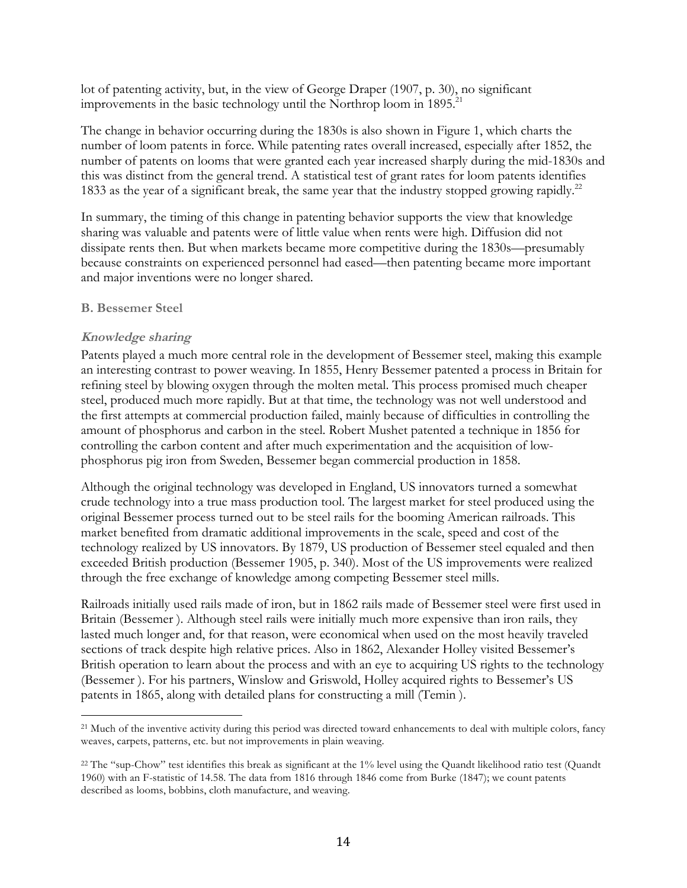lot of patenting activity, but, in the view of George Draper (1907, p. 30), no significant improvements in the basic technology until the Northrop loom in 1895.<sup>21</sup>

The change in behavior occurring during the 1830s is also shown in Figure 1, which charts the number of loom patents in force. While patenting rates overall increased, especially after 1852, the number of patents on looms that were granted each year increased sharply during the mid-1830s and this was distinct from the general trend. A statistical test of grant rates for loom patents identifies 1833 as the year of a significant break, the same year that the industry stopped growing rapidly.<sup>22</sup>

In summary, the timing of this change in patenting behavior supports the view that knowledge sharing was valuable and patents were of little value when rents were high. Diffusion did not dissipate rents then. But when markets became more competitive during the 1830s—presumably because constraints on experienced personnel had eased—then patenting became more important and major inventions were no longer shared.

#### **B. Bessemer Steel**

## **Knowledge sharing**

Patents played a much more central role in the development of Bessemer steel, making this example an interesting contrast to power weaving. In 1855, Henry Bessemer patented a process in Britain for refining steel by blowing oxygen through the molten metal. This process promised much cheaper steel, produced much more rapidly. But at that time, the technology was not well understood and the first attempts at commercial production failed, mainly because of difficulties in controlling the amount of phosphorus and carbon in the steel. Robert Mushet patented a technique in 1856 for controlling the carbon content and after much experimentation and the acquisition of lowphosphorus pig iron from Sweden, Bessemer began commercial production in 1858.

Although the original technology was developed in England, US innovators turned a somewhat crude technology into a true mass production tool. The largest market for steel produced using the original Bessemer process turned out to be steel rails for the booming American railroads. This market benefited from dramatic additional improvements in the scale, speed and cost of the technology realized by US innovators. By 1879, US production of Bessemer steel equaled and then exceeded British production (Bessemer 1905, p. 340). Most of the US improvements were realized through the free exchange of knowledge among competing Bessemer steel mills.

Railroads initially used rails made of iron, but in 1862 rails made of Bessemer steel were first used in Britain (Bessemer ). Although steel rails were initially much more expensive than iron rails, they lasted much longer and, for that reason, were economical when used on the most heavily traveled sections of track despite high relative prices. Also in 1862, Alexander Holley visited Bessemer's British operation to learn about the process and with an eye to acquiring US rights to the technology (Bessemer ). For his partners, Winslow and Griswold, Holley acquired rights to Bessemer's US patents in 1865, along with detailed plans for constructing a mill (Temin ).

<sup>&</sup>lt;sup>21</sup> Much of the inventive activity during this period was directed toward enhancements to deal with multiple colors, fancy weaves, carpets, patterns, etc. but not improvements in plain weaving.

<sup>22</sup> The "sup-Chow" test identifies this break as significant at the 1% level using the Quandt likelihood ratio test (Quandt 1960) with an F-statistic of 14.58. The data from 1816 through 1846 come from Burke (1847); we count patents described as looms, bobbins, cloth manufacture, and weaving.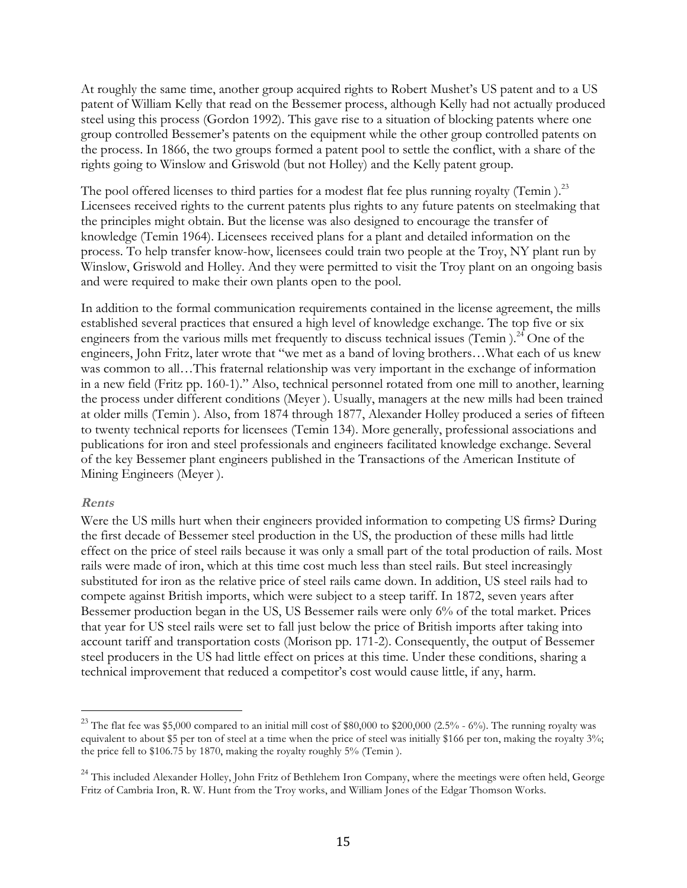At roughly the same time, another group acquired rights to Robert Mushet's US patent and to a US patent of William Kelly that read on the Bessemer process, although Kelly had not actually produced steel using this process (Gordon 1992). This gave rise to a situation of blocking patents where one group controlled Bessemer's patents on the equipment while the other group controlled patents on the process. In 1866, the two groups formed a patent pool to settle the conflict, with a share of the rights going to Winslow and Griswold (but not Holley) and the Kelly patent group.

The pool offered licenses to third parties for a modest flat fee plus running royalty (Temin).<sup>23</sup> Licensees received rights to the current patents plus rights to any future patents on steelmaking that the principles might obtain. But the license was also designed to encourage the transfer of knowledge (Temin 1964). Licensees received plans for a plant and detailed information on the process. To help transfer know-how, licensees could train two people at the Troy, NY plant run by Winslow, Griswold and Holley. And they were permitted to visit the Troy plant on an ongoing basis and were required to make their own plants open to the pool.

In addition to the formal communication requirements contained in the license agreement, the mills established several practices that ensured a high level of knowledge exchange. The top five or six engineers from the various mills met frequently to discuss technical issues (Temin).<sup>24</sup> One of the engineers, John Fritz, later wrote that "we met as a band of loving brothers…What each of us knew was common to all…This fraternal relationship was very important in the exchange of information in a new field (Fritz pp. 160-1)." Also, technical personnel rotated from one mill to another, learning the process under different conditions (Meyer ). Usually, managers at the new mills had been trained at older mills (Temin ). Also, from 1874 through 1877, Alexander Holley produced a series of fifteen to twenty technical reports for licensees (Temin 134). More generally, professional associations and publications for iron and steel professionals and engineers facilitated knowledge exchange. Several of the key Bessemer plant engineers published in the Transactions of the American Institute of Mining Engineers (Meyer ).

#### **Rents**

Were the US mills hurt when their engineers provided information to competing US firms? During the first decade of Bessemer steel production in the US, the production of these mills had little effect on the price of steel rails because it was only a small part of the total production of rails. Most rails were made of iron, which at this time cost much less than steel rails. But steel increasingly substituted for iron as the relative price of steel rails came down. In addition, US steel rails had to compete against British imports, which were subject to a steep tariff. In 1872, seven years after Bessemer production began in the US, US Bessemer rails were only 6% of the total market. Prices that year for US steel rails were set to fall just below the price of British imports after taking into account tariff and transportation costs (Morison pp. 171-2). Consequently, the output of Bessemer steel producers in the US had little effect on prices at this time. Under these conditions, sharing a technical improvement that reduced a competitor's cost would cause little, if any, harm.

 $23$  The flat fee was \$5,000 compared to an initial mill cost of \$80,000 to \$200,000 (2.5% - 6%). The running royalty was equivalent to about \$5 per ton of steel at a time when the price of steel was initially \$166 per ton, making the royalty 3%; the price fell to \$106.75 by 1870, making the royalty roughly 5% (Temin ).

<sup>&</sup>lt;sup>24</sup> This included Alexander Holley, John Fritz of Bethlehem Iron Company, where the meetings were often held, George Fritz of Cambria Iron, R. W. Hunt from the Troy works, and William Jones of the Edgar Thomson Works.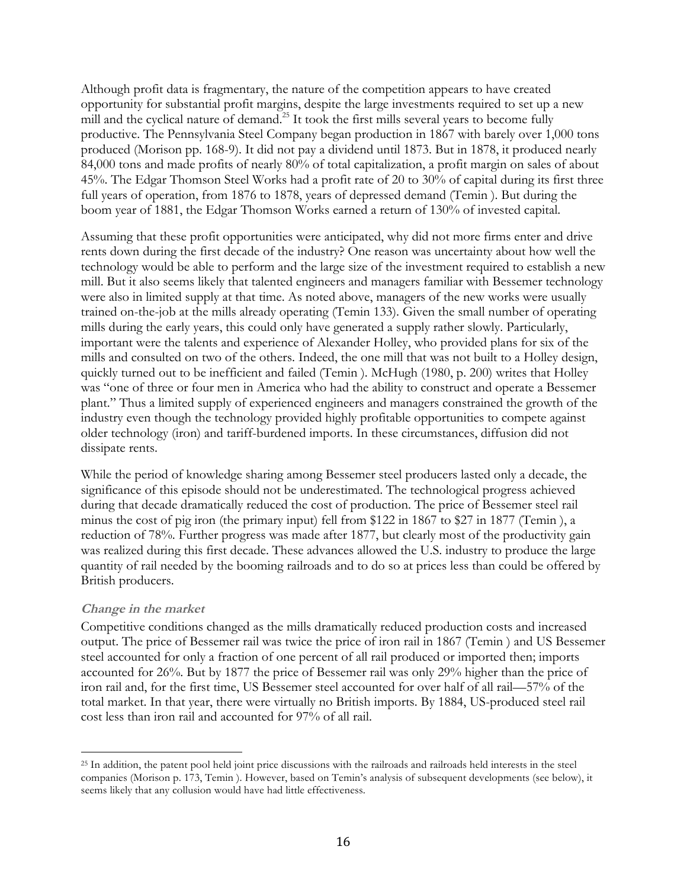Although profit data is fragmentary, the nature of the competition appears to have created opportunity for substantial profit margins, despite the large investments required to set up a new mill and the cyclical nature of demand.<sup>25</sup> It took the first mills several years to become fully productive. The Pennsylvania Steel Company began production in 1867 with barely over 1,000 tons produced (Morison pp. 168-9). It did not pay a dividend until 1873. But in 1878, it produced nearly 84,000 tons and made profits of nearly 80% of total capitalization, a profit margin on sales of about 45%. The Edgar Thomson Steel Works had a profit rate of 20 to 30% of capital during its first three full years of operation, from 1876 to 1878, years of depressed demand (Temin ). But during the boom year of 1881, the Edgar Thomson Works earned a return of 130% of invested capital.

Assuming that these profit opportunities were anticipated, why did not more firms enter and drive rents down during the first decade of the industry? One reason was uncertainty about how well the technology would be able to perform and the large size of the investment required to establish a new mill. But it also seems likely that talented engineers and managers familiar with Bessemer technology were also in limited supply at that time. As noted above, managers of the new works were usually trained on-the-job at the mills already operating (Temin 133). Given the small number of operating mills during the early years, this could only have generated a supply rather slowly. Particularly, important were the talents and experience of Alexander Holley, who provided plans for six of the mills and consulted on two of the others. Indeed, the one mill that was not built to a Holley design, quickly turned out to be inefficient and failed (Temin ). McHugh (1980, p. 200) writes that Holley was "one of three or four men in America who had the ability to construct and operate a Bessemer plant." Thus a limited supply of experienced engineers and managers constrained the growth of the industry even though the technology provided highly profitable opportunities to compete against older technology (iron) and tariff-burdened imports. In these circumstances, diffusion did not dissipate rents.

While the period of knowledge sharing among Bessemer steel producers lasted only a decade, the significance of this episode should not be underestimated. The technological progress achieved during that decade dramatically reduced the cost of production. The price of Bessemer steel rail minus the cost of pig iron (the primary input) fell from \$122 in 1867 to \$27 in 1877 (Temin ), a reduction of 78%. Further progress was made after 1877, but clearly most of the productivity gain was realized during this first decade. These advances allowed the U.S. industry to produce the large quantity of rail needed by the booming railroads and to do so at prices less than could be offered by British producers.

## **Change in the market**

Competitive conditions changed as the mills dramatically reduced production costs and increased output. The price of Bessemer rail was twice the price of iron rail in 1867 (Temin ) and US Bessemer steel accounted for only a fraction of one percent of all rail produced or imported then; imports accounted for 26%. But by 1877 the price of Bessemer rail was only 29% higher than the price of iron rail and, for the first time, US Bessemer steel accounted for over half of all rail—57% of the total market. In that year, there were virtually no British imports. By 1884, US-produced steel rail cost less than iron rail and accounted for 97% of all rail.

<sup>&</sup>lt;sup>25</sup> In addition, the patent pool held joint price discussions with the railroads and railroads held interests in the steel companies (Morison p. 173, Temin ). However, based on Temin's analysis of subsequent developments (see below), it seems likely that any collusion would have had little effectiveness.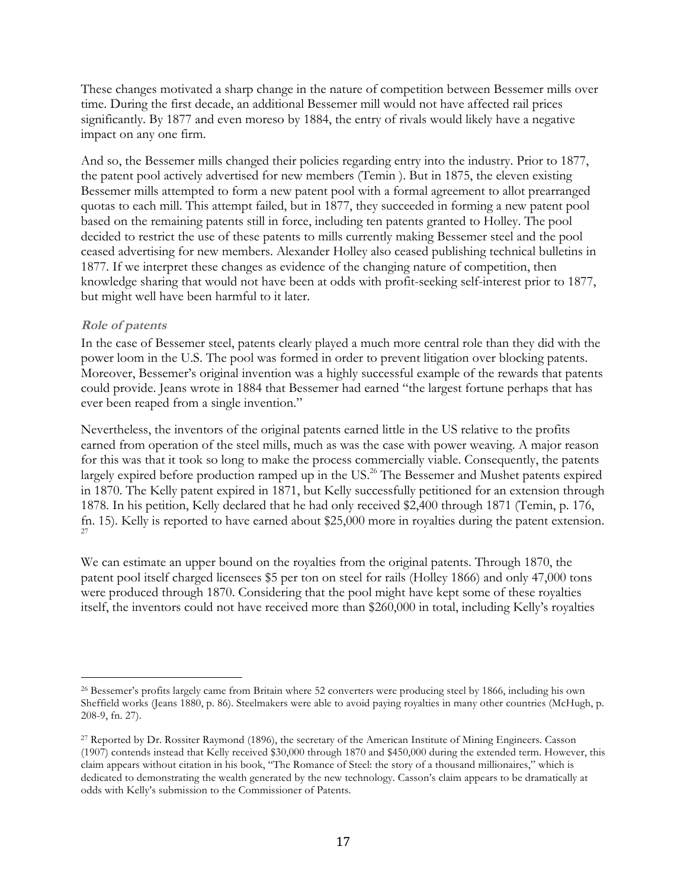These changes motivated a sharp change in the nature of competition between Bessemer mills over time. During the first decade, an additional Bessemer mill would not have affected rail prices significantly. By 1877 and even moreso by 1884, the entry of rivals would likely have a negative impact on any one firm.

And so, the Bessemer mills changed their policies regarding entry into the industry. Prior to 1877, the patent pool actively advertised for new members (Temin ). But in 1875, the eleven existing Bessemer mills attempted to form a new patent pool with a formal agreement to allot prearranged quotas to each mill. This attempt failed, but in 1877, they succeeded in forming a new patent pool based on the remaining patents still in force, including ten patents granted to Holley. The pool decided to restrict the use of these patents to mills currently making Bessemer steel and the pool ceased advertising for new members. Alexander Holley also ceased publishing technical bulletins in 1877. If we interpret these changes as evidence of the changing nature of competition, then knowledge sharing that would not have been at odds with profit-seeking self-interest prior to 1877, but might well have been harmful to it later.

#### **Role of patents**

In the case of Bessemer steel, patents clearly played a much more central role than they did with the power loom in the U.S. The pool was formed in order to prevent litigation over blocking patents. Moreover, Bessemer's original invention was a highly successful example of the rewards that patents could provide. Jeans wrote in 1884 that Bessemer had earned "the largest fortune perhaps that has ever been reaped from a single invention."

Nevertheless, the inventors of the original patents earned little in the US relative to the profits earned from operation of the steel mills, much as was the case with power weaving. A major reason for this was that it took so long to make the process commercially viable. Consequently, the patents largely expired before production ramped up in the US.<sup>26</sup> The Bessemer and Mushet patents expired in 1870. The Kelly patent expired in 1871, but Kelly successfully petitioned for an extension through 1878. In his petition, Kelly declared that he had only received \$2,400 through 1871 (Temin, p. 176, fn. 15). Kelly is reported to have earned about \$25,000 more in royalties during the patent extension. 27

We can estimate an upper bound on the royalties from the original patents. Through 1870, the patent pool itself charged licensees \$5 per ton on steel for rails (Holley 1866) and only 47,000 tons were produced through 1870. Considering that the pool might have kept some of these royalties itself, the inventors could not have received more than \$260,000 in total, including Kelly's royalties

 <sup>26</sup> Bessemer's profits largely came from Britain where 52 converters were producing steel by 1866, including his own Sheffield works (Jeans 1880, p. 86). Steelmakers were able to avoid paying royalties in many other countries (McHugh, p. 208-9, fn. 27).

<sup>27</sup> Reported by Dr. Rossiter Raymond (1896), the secretary of the American Institute of Mining Engineers. Casson (1907) contends instead that Kelly received \$30,000 through 1870 and \$450,000 during the extended term. However, this claim appears without citation in his book, "The Romance of Steel: the story of a thousand millionaires," which is dedicated to demonstrating the wealth generated by the new technology. Casson's claim appears to be dramatically at odds with Kelly's submission to the Commissioner of Patents.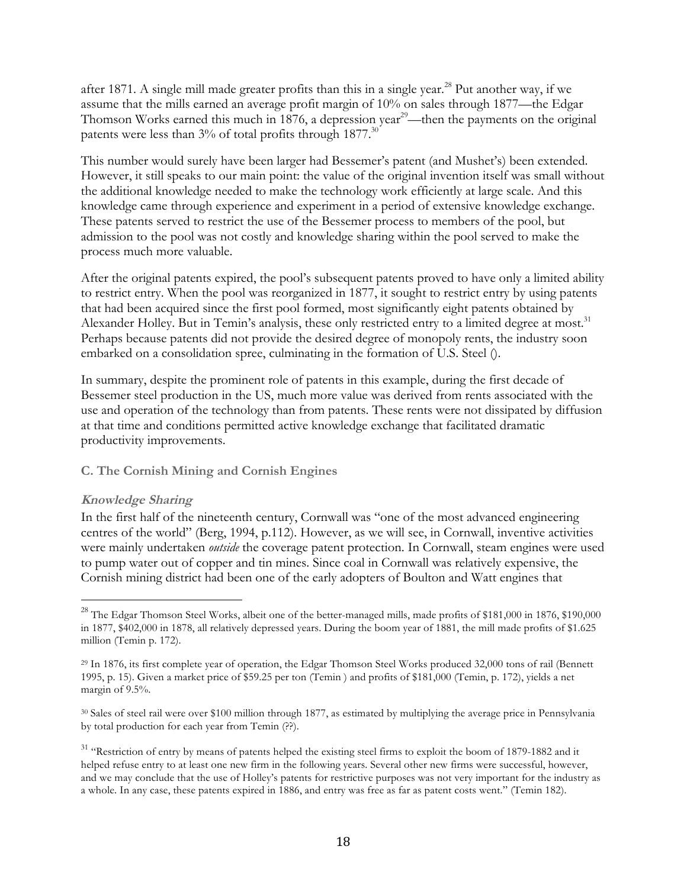after 1871. A single mill made greater profits than this in a single year. <sup>28</sup> Put another way, if we assume that the mills earned an average profit margin of 10% on sales through 1877—the Edgar Thomson Works earned this much in 1876, a depression year<sup>29</sup>—then the payments on the original patents were less than  $3\%$  of total profits through 1877.<sup>30</sup>

This number would surely have been larger had Bessemer's patent (and Mushet's) been extended. However, it still speaks to our main point: the value of the original invention itself was small without the additional knowledge needed to make the technology work efficiently at large scale. And this knowledge came through experience and experiment in a period of extensive knowledge exchange. These patents served to restrict the use of the Bessemer process to members of the pool, but admission to the pool was not costly and knowledge sharing within the pool served to make the process much more valuable.

After the original patents expired, the pool's subsequent patents proved to have only a limited ability to restrict entry. When the pool was reorganized in 1877, it sought to restrict entry by using patents that had been acquired since the first pool formed, most significantly eight patents obtained by Alexander Holley. But in Temin's analysis, these only restricted entry to a limited degree at most.<sup>31</sup> Perhaps because patents did not provide the desired degree of monopoly rents, the industry soon embarked on a consolidation spree, culminating in the formation of U.S. Steel ().

In summary, despite the prominent role of patents in this example, during the first decade of Bessemer steel production in the US, much more value was derived from rents associated with the use and operation of the technology than from patents. These rents were not dissipated by diffusion at that time and conditions permitted active knowledge exchange that facilitated dramatic productivity improvements.

## **C. The Cornish Mining and Cornish Engines**

## **Knowledge Sharing**

In the first half of the nineteenth century, Cornwall was "one of the most advanced engineering centres of the world" (Berg, 1994, p.112). However, as we will see, in Cornwall, inventive activities were mainly undertaken *outside* the coverage patent protection. In Cornwall, steam engines were used to pump water out of copper and tin mines. Since coal in Cornwall was relatively expensive, the Cornish mining district had been one of the early adopters of Boulton and Watt engines that

<sup>&</sup>lt;sup>28</sup> The Edgar Thomson Steel Works, albeit one of the better-managed mills, made profits of \$181,000 in 1876, \$190,000 in 1877, \$402,000 in 1878, all relatively depressed years. During the boom year of 1881, the mill made profits of \$1.625 million (Temin p. 172).

<sup>29</sup> In 1876, its first complete year of operation, the Edgar Thomson Steel Works produced 32,000 tons of rail (Bennett 1995, p. 15). Given a market price of \$59.25 per ton (Temin ) and profits of \$181,000 (Temin, p. 172), yields a net margin of 9.5%.

<sup>&</sup>lt;sup>30</sup> Sales of steel rail were over \$100 million through 1877, as estimated by multiplying the average price in Pennsylvania by total production for each year from Temin (??).

<sup>&</sup>lt;sup>31</sup> "Restriction of entry by means of patents helped the existing steel firms to exploit the boom of 1879-1882 and it helped refuse entry to at least one new firm in the following years. Several other new firms were successful, however, and we may conclude that the use of Holley's patents for restrictive purposes was not very important for the industry as a whole. In any case, these patents expired in 1886, and entry was free as far as patent costs went." (Temin 182).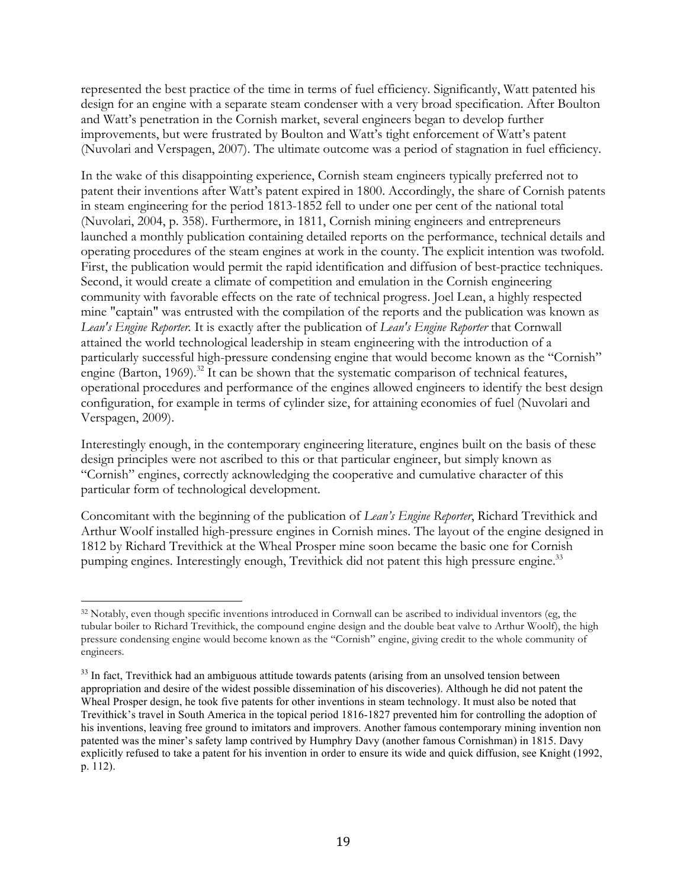represented the best practice of the time in terms of fuel efficiency. Significantly, Watt patented his design for an engine with a separate steam condenser with a very broad specification. After Boulton and Watt's penetration in the Cornish market, several engineers began to develop further improvements, but were frustrated by Boulton and Watt's tight enforcement of Watt's patent (Nuvolari and Verspagen, 2007). The ultimate outcome was a period of stagnation in fuel efficiency.

In the wake of this disappointing experience, Cornish steam engineers typically preferred not to patent their inventions after Watt's patent expired in 1800. Accordingly, the share of Cornish patents in steam engineering for the period 1813-1852 fell to under one per cent of the national total (Nuvolari, 2004, p. 358). Furthermore, in 1811, Cornish mining engineers and entrepreneurs launched a monthly publication containing detailed reports on the performance, technical details and operating procedures of the steam engines at work in the county. The explicit intention was twofold. First, the publication would permit the rapid identification and diffusion of best-practice techniques. Second, it would create a climate of competition and emulation in the Cornish engineering community with favorable effects on the rate of technical progress. Joel Lean, a highly respected mine "captain" was entrusted with the compilation of the reports and the publication was known as *Lean's Engine Reporter.* It is exactly after the publication of *Lean's Engine Reporter* that Cornwall attained the world technological leadership in steam engineering with the introduction of a particularly successful high-pressure condensing engine that would become known as the "Cornish" engine (Barton, 1969).<sup>32</sup> It can be shown that the systematic comparison of technical features, operational procedures and performance of the engines allowed engineers to identify the best design configuration, for example in terms of cylinder size, for attaining economies of fuel (Nuvolari and Verspagen, 2009).

Interestingly enough, in the contemporary engineering literature, engines built on the basis of these design principles were not ascribed to this or that particular engineer, but simply known as "Cornish" engines, correctly acknowledging the cooperative and cumulative character of this particular form of technological development.

Concomitant with the beginning of the publication of *Lean's Engine Reporter*, Richard Trevithick and Arthur Woolf installed high-pressure engines in Cornish mines. The layout of the engine designed in 1812 by Richard Trevithick at the Wheal Prosper mine soon became the basic one for Cornish pumping engines. Interestingly enough, Trevithick did not patent this high pressure engine.<sup>33</sup>

<sup>&</sup>lt;sup>32</sup> Notably, even though specific inventions introduced in Cornwall can be ascribed to individual inventors (eg, the tubular boiler to Richard Trevithick, the compound engine design and the double beat valve to Arthur Woolf), the high pressure condensing engine would become known as the "Cornish" engine, giving credit to the whole community of engineers.

<sup>&</sup>lt;sup>33</sup> In fact, Trevithick had an ambiguous attitude towards patents (arising from an unsolved tension between appropriation and desire of the widest possible dissemination of his discoveries). Although he did not patent the Wheal Prosper design, he took five patents for other inventions in steam technology. It must also be noted that Trevithick's travel in South America in the topical period 1816-1827 prevented him for controlling the adoption of his inventions, leaving free ground to imitators and improvers. Another famous contemporary mining invention non patented was the miner's safety lamp contrived by Humphry Davy (another famous Cornishman) in 1815. Davy explicitly refused to take a patent for his invention in order to ensure its wide and quick diffusion, see Knight (1992, p. 112).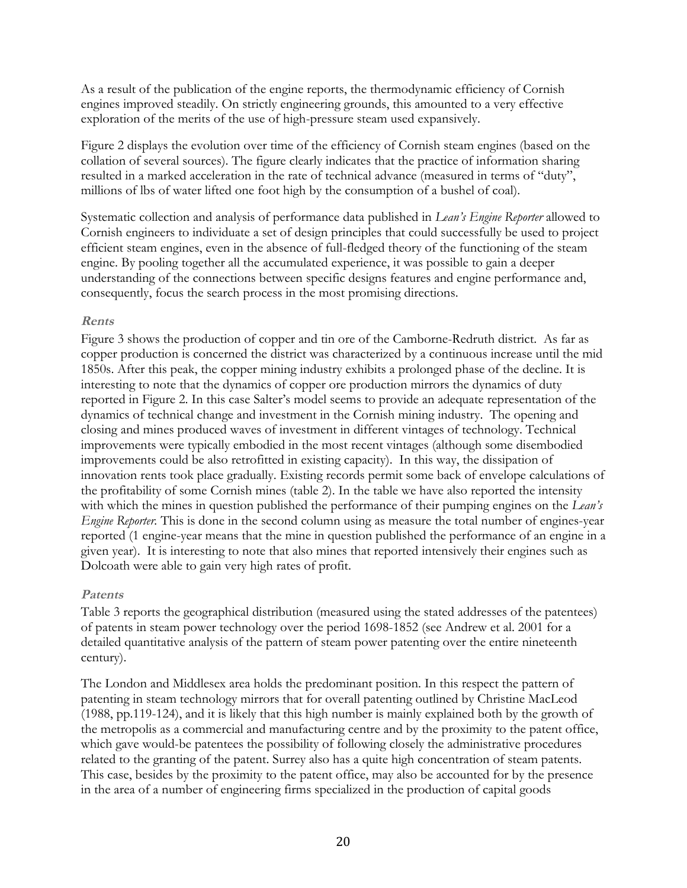As a result of the publication of the engine reports, the thermodynamic efficiency of Cornish engines improved steadily. On strictly engineering grounds, this amounted to a very effective exploration of the merits of the use of high-pressure steam used expansively.

Figure 2 displays the evolution over time of the efficiency of Cornish steam engines (based on the collation of several sources). The figure clearly indicates that the practice of information sharing resulted in a marked acceleration in the rate of technical advance (measured in terms of "duty", millions of lbs of water lifted one foot high by the consumption of a bushel of coal).

Systematic collection and analysis of performance data published in *Lean's Engine Reporter* allowed to Cornish engineers to individuate a set of design principles that could successfully be used to project efficient steam engines, even in the absence of full-fledged theory of the functioning of the steam engine. By pooling together all the accumulated experience, it was possible to gain a deeper understanding of the connections between specific designs features and engine performance and, consequently, focus the search process in the most promising directions.

#### **Rents**

Figure 3 shows the production of copper and tin ore of the Camborne-Redruth district. As far as copper production is concerned the district was characterized by a continuous increase until the mid 1850s. After this peak, the copper mining industry exhibits a prolonged phase of the decline. It is interesting to note that the dynamics of copper ore production mirrors the dynamics of duty reported in Figure 2. In this case Salter's model seems to provide an adequate representation of the dynamics of technical change and investment in the Cornish mining industry. The opening and closing and mines produced waves of investment in different vintages of technology. Technical improvements were typically embodied in the most recent vintages (although some disembodied improvements could be also retrofitted in existing capacity). In this way, the dissipation of innovation rents took place gradually. Existing records permit some back of envelope calculations of the profitability of some Cornish mines (table 2). In the table we have also reported the intensity with which the mines in question published the performance of their pumping engines on the *Lean's Engine Reporter.* This is done in the second column using as measure the total number of engines-year reported (1 engine-year means that the mine in question published the performance of an engine in a given year). It is interesting to note that also mines that reported intensively their engines such as Dolcoath were able to gain very high rates of profit.

## **Patents**

Table 3 reports the geographical distribution (measured using the stated addresses of the patentees) of patents in steam power technology over the period 1698-1852 (see Andrew et al. 2001 for a detailed quantitative analysis of the pattern of steam power patenting over the entire nineteenth century).

The London and Middlesex area holds the predominant position. In this respect the pattern of patenting in steam technology mirrors that for overall patenting outlined by Christine MacLeod (1988, pp.119-124), and it is likely that this high number is mainly explained both by the growth of the metropolis as a commercial and manufacturing centre and by the proximity to the patent office, which gave would-be patentees the possibility of following closely the administrative procedures related to the granting of the patent. Surrey also has a quite high concentration of steam patents. This case, besides by the proximity to the patent office, may also be accounted for by the presence in the area of a number of engineering firms specialized in the production of capital goods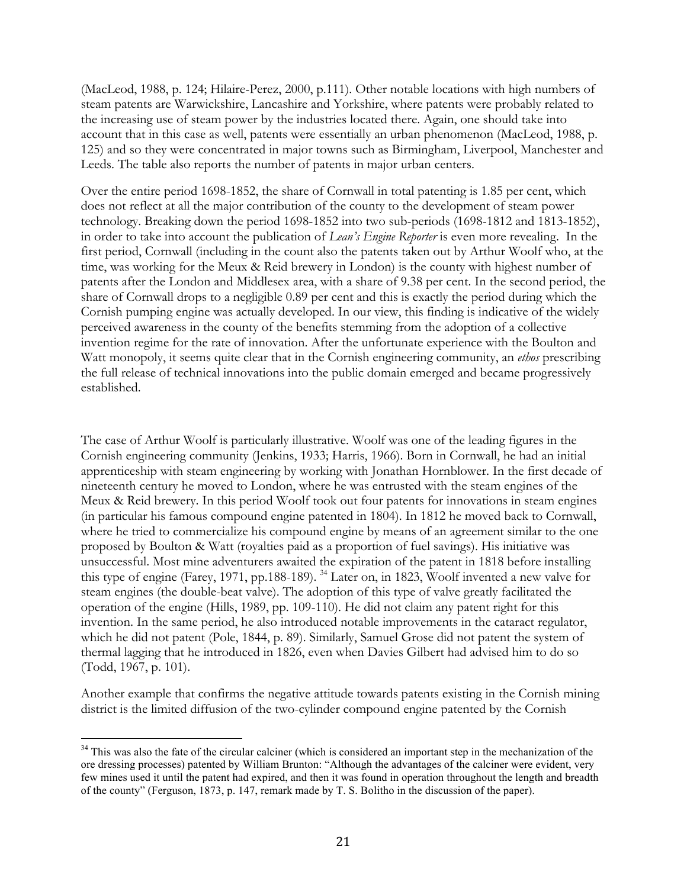(MacLeod, 1988, p. 124; Hilaire-Perez, 2000, p.111). Other notable locations with high numbers of steam patents are Warwickshire, Lancashire and Yorkshire, where patents were probably related to the increasing use of steam power by the industries located there. Again, one should take into account that in this case as well, patents were essentially an urban phenomenon (MacLeod, 1988, p. 125) and so they were concentrated in major towns such as Birmingham, Liverpool, Manchester and Leeds. The table also reports the number of patents in major urban centers.

Over the entire period 1698-1852, the share of Cornwall in total patenting is 1.85 per cent, which does not reflect at all the major contribution of the county to the development of steam power technology. Breaking down the period 1698-1852 into two sub-periods (1698-1812 and 1813-1852), in order to take into account the publication of *Lean's Engine Reporter* is even more revealing. In the first period, Cornwall (including in the count also the patents taken out by Arthur Woolf who, at the time, was working for the Meux & Reid brewery in London) is the county with highest number of patents after the London and Middlesex area, with a share of 9.38 per cent. In the second period, the share of Cornwall drops to a negligible 0.89 per cent and this is exactly the period during which the Cornish pumping engine was actually developed. In our view, this finding is indicative of the widely perceived awareness in the county of the benefits stemming from the adoption of a collective invention regime for the rate of innovation. After the unfortunate experience with the Boulton and Watt monopoly, it seems quite clear that in the Cornish engineering community, an *ethos* prescribing the full release of technical innovations into the public domain emerged and became progressively established.

The case of Arthur Woolf is particularly illustrative. Woolf was one of the leading figures in the Cornish engineering community (Jenkins, 1933; Harris, 1966). Born in Cornwall, he had an initial apprenticeship with steam engineering by working with Jonathan Hornblower. In the first decade of nineteenth century he moved to London, where he was entrusted with the steam engines of the Meux & Reid brewery. In this period Woolf took out four patents for innovations in steam engines (in particular his famous compound engine patented in 1804). In 1812 he moved back to Cornwall, where he tried to commercialize his compound engine by means of an agreement similar to the one proposed by Boulton & Watt (royalties paid as a proportion of fuel savings). His initiative was unsuccessful. Most mine adventurers awaited the expiration of the patent in 1818 before installing this type of engine (Farey, 1971, pp.188-189). 34 Later on, in 1823, Woolf invented a new valve for steam engines (the double-beat valve). The adoption of this type of valve greatly facilitated the operation of the engine (Hills, 1989, pp. 109-110). He did not claim any patent right for this invention. In the same period, he also introduced notable improvements in the cataract regulator, which he did not patent (Pole, 1844, p. 89). Similarly, Samuel Grose did not patent the system of thermal lagging that he introduced in 1826, even when Davies Gilbert had advised him to do so (Todd, 1967, p. 101).

Another example that confirms the negative attitude towards patents existing in the Cornish mining district is the limited diffusion of the two-cylinder compound engine patented by the Cornish

<sup>&</sup>lt;sup>34</sup> This was also the fate of the circular calciner (which is considered an important step in the mechanization of the ore dressing processes) patented by William Brunton: "Although the advantages of the calciner were evident, very few mines used it until the patent had expired, and then it was found in operation throughout the length and breadth of the county" (Ferguson, 1873, p. 147, remark made by T. S. Bolitho in the discussion of the paper).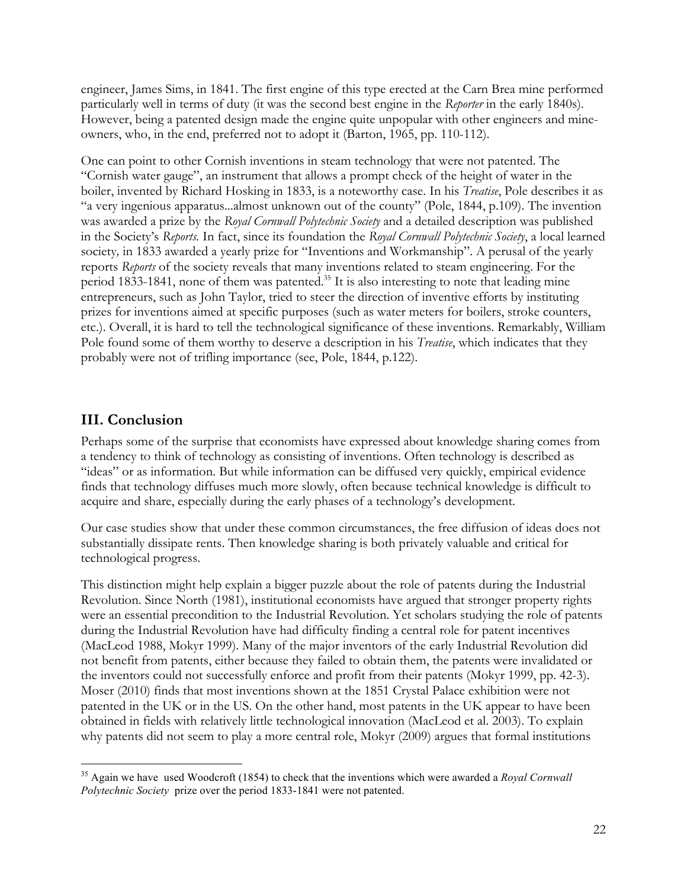engineer, James Sims, in 1841. The first engine of this type erected at the Carn Brea mine performed particularly well in terms of duty (it was the second best engine in the *Reporter* in the early 1840s). However, being a patented design made the engine quite unpopular with other engineers and mineowners, who, in the end, preferred not to adopt it (Barton, 1965, pp. 110-112).

One can point to other Cornish inventions in steam technology that were not patented. The "Cornish water gauge", an instrument that allows a prompt check of the height of water in the boiler, invented by Richard Hosking in 1833, is a noteworthy case. In his *Treatise*, Pole describes it as "a very ingenious apparatus...almost unknown out of the county" (Pole, 1844, p.109). The invention was awarded a prize by the *Royal Cornwall Polytechnic Society* and a detailed description was published in the Society's *Reports.* In fact, since its foundation the *Royal Cornwall Polytechnic Society*, a local learned society*,* in 1833 awarded a yearly prize for "Inventions and Workmanship". A perusal of the yearly reports *Reports* of the society reveals that many inventions related to steam engineering. For the period 1833-1841, none of them was patented.<sup>35</sup> It is also interesting to note that leading mine entrepreneurs, such as John Taylor, tried to steer the direction of inventive efforts by instituting prizes for inventions aimed at specific purposes (such as water meters for boilers, stroke counters, etc.). Overall, it is hard to tell the technological significance of these inventions. Remarkably, William Pole found some of them worthy to deserve a description in his *Treatise*, which indicates that they probably were not of trifling importance (see, Pole, 1844, p.122).

## **III. Conclusion**

Perhaps some of the surprise that economists have expressed about knowledge sharing comes from a tendency to think of technology as consisting of inventions. Often technology is described as "ideas" or as information. But while information can be diffused very quickly, empirical evidence finds that technology diffuses much more slowly, often because technical knowledge is difficult to acquire and share, especially during the early phases of a technology's development.

Our case studies show that under these common circumstances, the free diffusion of ideas does not substantially dissipate rents. Then knowledge sharing is both privately valuable and critical for technological progress.

This distinction might help explain a bigger puzzle about the role of patents during the Industrial Revolution. Since North (1981), institutional economists have argued that stronger property rights were an essential precondition to the Industrial Revolution. Yet scholars studying the role of patents during the Industrial Revolution have had difficulty finding a central role for patent incentives (MacLeod 1988, Mokyr 1999). Many of the major inventors of the early Industrial Revolution did not benefit from patents, either because they failed to obtain them, the patents were invalidated or the inventors could not successfully enforce and profit from their patents (Mokyr 1999, pp. 42-3). Moser (2010) finds that most inventions shown at the 1851 Crystal Palace exhibition were not patented in the UK or in the US. On the other hand, most patents in the UK appear to have been obtained in fields with relatively little technological innovation (MacLeod et al. 2003). To explain why patents did not seem to play a more central role, Mokyr (2009) argues that formal institutions

<sup>35</sup> Again we have used Woodcroft (1854) to check that the inventions which were awarded a *Royal Cornwall Polytechnic Society* prize over the period 1833-1841 were not patented.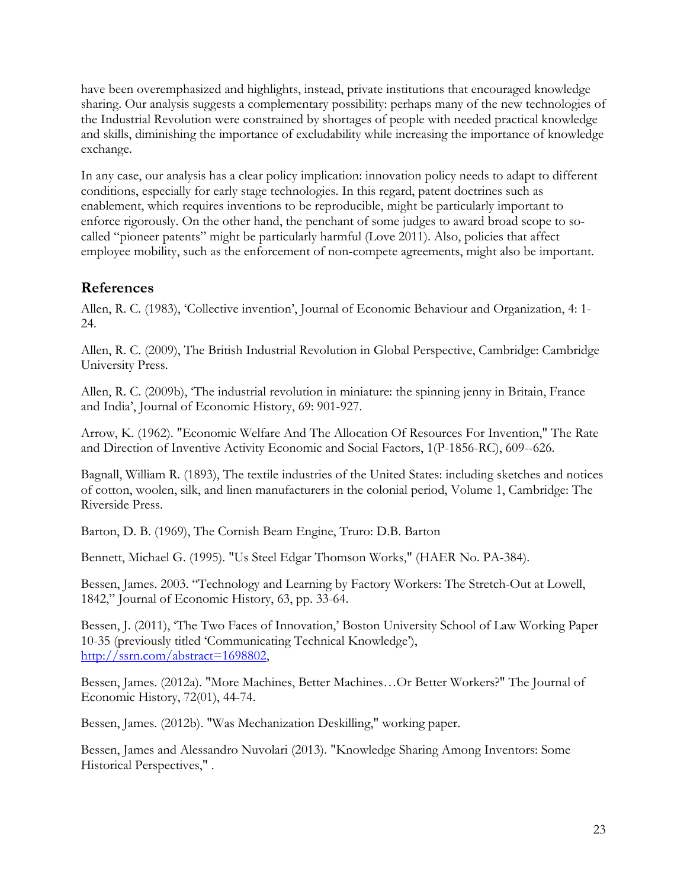have been overemphasized and highlights, instead, private institutions that encouraged knowledge sharing. Our analysis suggests a complementary possibility: perhaps many of the new technologies of the Industrial Revolution were constrained by shortages of people with needed practical knowledge and skills, diminishing the importance of excludability while increasing the importance of knowledge exchange.

In any case, our analysis has a clear policy implication: innovation policy needs to adapt to different conditions, especially for early stage technologies. In this regard, patent doctrines such as enablement, which requires inventions to be reproducible, might be particularly important to enforce rigorously. On the other hand, the penchant of some judges to award broad scope to socalled "pioneer patents" might be particularly harmful (Love 2011). Also, policies that affect employee mobility, such as the enforcement of non-compete agreements, might also be important.

## **References**

Allen, R. C. (1983), 'Collective invention', Journal of Economic Behaviour and Organization, 4: 1- 24.

Allen, R. C. (2009), The British Industrial Revolution in Global Perspective, Cambridge: Cambridge University Press.

Allen, R. C. (2009b), 'The industrial revolution in miniature: the spinning jenny in Britain, France and India', Journal of Economic History, 69: 901-927.

Arrow, K. (1962). "Economic Welfare And The Allocation Of Resources For Invention," The Rate and Direction of Inventive Activity Economic and Social Factors, 1(P-1856-RC), 609--626.

Bagnall, William R. (1893), The textile industries of the United States: including sketches and notices of cotton, woolen, silk, and linen manufacturers in the colonial period, Volume 1, Cambridge: The Riverside Press.

Barton, D. B. (1969), The Cornish Beam Engine, Truro: D.B. Barton

Bennett, Michael G. (1995). "Us Steel Edgar Thomson Works," (HAER No. PA-384).

Bessen, James. 2003. "Technology and Learning by Factory Workers: The Stretch-Out at Lowell, 1842," Journal of Economic History, 63, pp. 33-64.

Bessen, J. (2011), 'The Two Faces of Innovation,' Boston University School of Law Working Paper 10-35 (previously titled 'Communicating Technical Knowledge'), http://ssrn.com/abstract=1698802,

Bessen, James. (2012a). "More Machines, Better Machines…Or Better Workers?" The Journal of Economic History, 72(01), 44-74.

Bessen, James. (2012b). "Was Mechanization Deskilling," working paper.

Bessen, James and Alessandro Nuvolari (2013). "Knowledge Sharing Among Inventors: Some Historical Perspectives," .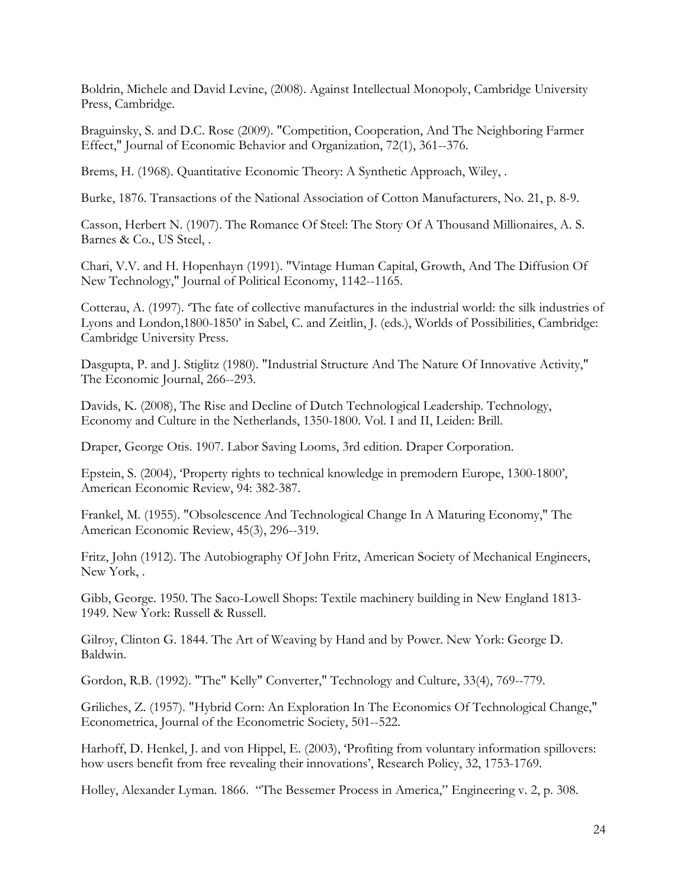Boldrin, Michele and David Levine, (2008). Against Intellectual Monopoly, Cambridge University Press, Cambridge.

Braguinsky, S. and D.C. Rose (2009). "Competition, Cooperation, And The Neighboring Farmer Effect," Journal of Economic Behavior and Organization, 72(1), 361--376.

Brems, H. (1968). Quantitative Economic Theory: A Synthetic Approach, Wiley, .

Burke, 1876. Transactions of the National Association of Cotton Manufacturers, No. 21, p. 8-9.

Casson, Herbert N. (1907). The Romance Of Steel: The Story Of A Thousand Millionaires, A. S. Barnes & Co., US Steel, .

Chari, V.V. and H. Hopenhayn (1991). "Vintage Human Capital, Growth, And The Diffusion Of New Technology," Journal of Political Economy, 1142--1165.

Cotterau, A. (1997). 'The fate of collective manufactures in the industrial world: the silk industries of Lyons and London,1800-1850' in Sabel, C. and Zeitlin, J. (eds.), Worlds of Possibilities, Cambridge: Cambridge University Press.

Dasgupta, P. and J. Stiglitz (1980). "Industrial Structure And The Nature Of Innovative Activity," The Economic Journal, 266--293.

Davids, K. (2008), The Rise and Decline of Dutch Technological Leadership. Technology, Economy and Culture in the Netherlands, 1350-1800. Vol. I and II, Leiden: Brill.

Draper, George Otis. 1907. Labor Saving Looms, 3rd edition. Draper Corporation.

Epstein, S. (2004), 'Property rights to technical knowledge in premodern Europe, 1300-1800', American Economic Review, 94: 382-387.

Frankel, M. (1955). "Obsolescence And Technological Change In A Maturing Economy," The American Economic Review, 45(3), 296--319.

Fritz, John (1912). The Autobiography Of John Fritz, American Society of Mechanical Engineers, New York, .

Gibb, George. 1950. The Saco-Lowell Shops: Textile machinery building in New England 1813- 1949. New York: Russell & Russell.

Gilroy, Clinton G. 1844. The Art of Weaving by Hand and by Power. New York: George D. Baldwin.

Gordon, R.B. (1992). "The" Kelly" Converter," Technology and Culture, 33(4), 769--779.

Griliches, Z. (1957). "Hybrid Corn: An Exploration In The Economics Of Technological Change," Econometrica, Journal of the Econometric Society, 501--522.

Harhoff, D. Henkel, J. and von Hippel, E. (2003), 'Profiting from voluntary information spillovers: how users benefit from free revealing their innovations', Research Policy, 32, 1753-1769.

Holley, Alexander Lyman. 1866. "The Bessemer Process in America," Engineering v. 2, p. 308.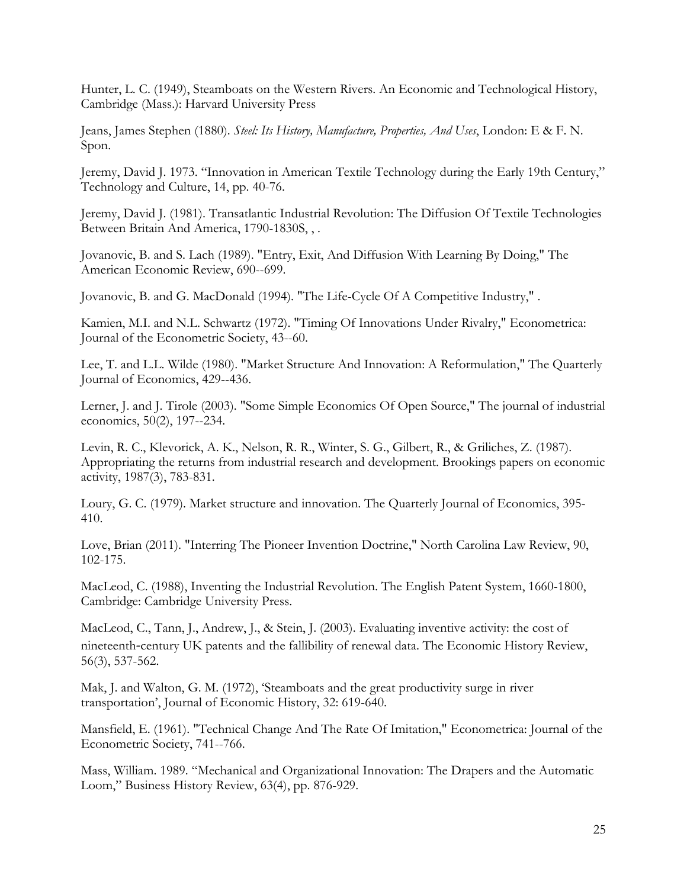Hunter, L. C. (1949), Steamboats on the Western Rivers. An Economic and Technological History, Cambridge (Mass.): Harvard University Press

Jeans, James Stephen (1880). *Steel: Its History, Manufacture, Properties, And Uses*, London: E & F. N. Spon.

Jeremy, David J. 1973. "Innovation in American Textile Technology during the Early 19th Century," Technology and Culture, 14, pp. 40-76.

Jeremy, David J. (1981). Transatlantic Industrial Revolution: The Diffusion Of Textile Technologies Between Britain And America, 1790-1830S, , .

Jovanovic, B. and S. Lach (1989). "Entry, Exit, And Diffusion With Learning By Doing," The American Economic Review, 690--699.

Jovanovic, B. and G. MacDonald (1994). "The Life-Cycle Of A Competitive Industry," .

Kamien, M.I. and N.L. Schwartz (1972). "Timing Of Innovations Under Rivalry," Econometrica: Journal of the Econometric Society, 43--60.

Lee, T. and L.L. Wilde (1980). "Market Structure And Innovation: A Reformulation," The Quarterly Journal of Economics, 429--436.

Lerner, J. and J. Tirole (2003). "Some Simple Economics Of Open Source," The journal of industrial economics, 50(2), 197--234.

Levin, R. C., Klevorick, A. K., Nelson, R. R., Winter, S. G., Gilbert, R., & Griliches, Z. (1987). Appropriating the returns from industrial research and development. Brookings papers on economic activity, 1987(3), 783-831.

Loury, G. C. (1979). Market structure and innovation. The Quarterly Journal of Economics, 395- 410.

Love, Brian (2011). "Interring The Pioneer Invention Doctrine," North Carolina Law Review, 90, 102-175.

MacLeod, C. (1988), Inventing the Industrial Revolution. The English Patent System, 1660-1800, Cambridge: Cambridge University Press.

MacLeod, C., Tann, J., Andrew, J., & Stein, J. (2003). Evaluating inventive activity: the cost of nineteenth-century UK patents and the fallibility of renewal data. The Economic History Review, 56(3), 537-562.

Mak, J. and Walton, G. M. (1972), 'Steamboats and the great productivity surge in river transportation', Journal of Economic History, 32: 619-640.

Mansfield, E. (1961). "Technical Change And The Rate Of Imitation," Econometrica: Journal of the Econometric Society, 741--766.

Mass, William. 1989. "Mechanical and Organizational Innovation: The Drapers and the Automatic Loom," Business History Review, 63(4), pp. 876-929.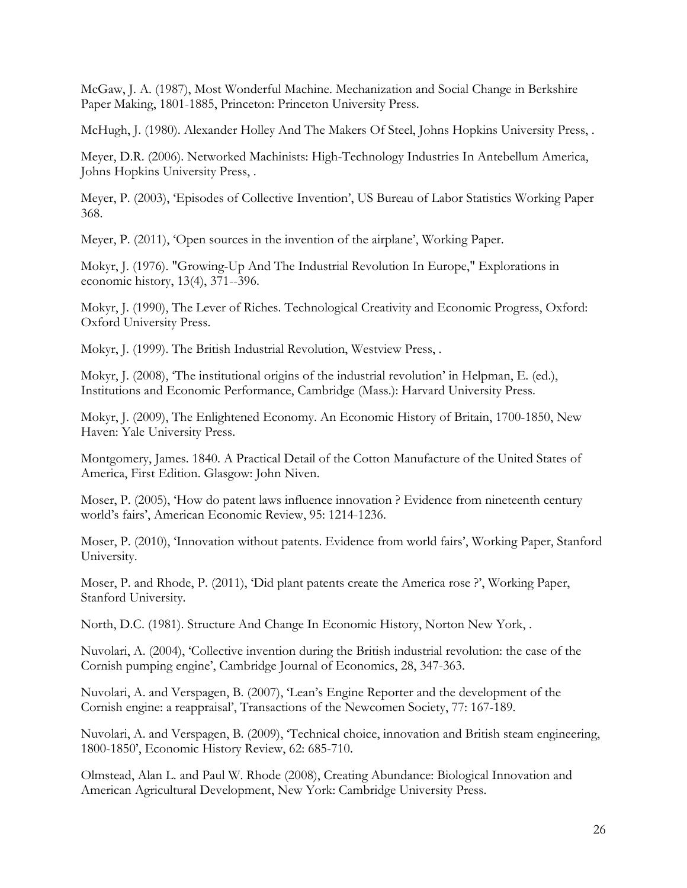McGaw, J. A. (1987), Most Wonderful Machine. Mechanization and Social Change in Berkshire Paper Making, 1801-1885, Princeton: Princeton University Press.

McHugh, J. (1980). Alexander Holley And The Makers Of Steel, Johns Hopkins University Press, .

Meyer, D.R. (2006). Networked Machinists: High-Technology Industries In Antebellum America, Johns Hopkins University Press, .

Meyer, P. (2003), 'Episodes of Collective Invention', US Bureau of Labor Statistics Working Paper 368.

Meyer, P. (2011), 'Open sources in the invention of the airplane', Working Paper.

Mokyr, J. (1976). "Growing-Up And The Industrial Revolution In Europe," Explorations in economic history, 13(4), 371--396.

Mokyr, J. (1990), The Lever of Riches. Technological Creativity and Economic Progress, Oxford: Oxford University Press.

Mokyr, J. (1999). The British Industrial Revolution, Westview Press, .

Mokyr, J. (2008), 'The institutional origins of the industrial revolution' in Helpman, E. (ed.), Institutions and Economic Performance, Cambridge (Mass.): Harvard University Press.

Mokyr, J. (2009), The Enlightened Economy. An Economic History of Britain, 1700-1850, New Haven: Yale University Press.

Montgomery, James. 1840. A Practical Detail of the Cotton Manufacture of the United States of America, First Edition. Glasgow: John Niven.

Moser, P. (2005), 'How do patent laws influence innovation ? Evidence from nineteenth century world's fairs', American Economic Review, 95: 1214-1236.

Moser, P. (2010), 'Innovation without patents. Evidence from world fairs', Working Paper, Stanford University.

Moser, P. and Rhode, P. (2011), 'Did plant patents create the America rose ?', Working Paper, Stanford University.

North, D.C. (1981). Structure And Change In Economic History, Norton New York, .

Nuvolari, A. (2004), 'Collective invention during the British industrial revolution: the case of the Cornish pumping engine', Cambridge Journal of Economics, 28, 347-363.

Nuvolari, A. and Verspagen, B. (2007), 'Lean's Engine Reporter and the development of the Cornish engine: a reappraisal', Transactions of the Newcomen Society, 77: 167-189.

Nuvolari, A. and Verspagen, B. (2009), 'Technical choice, innovation and British steam engineering, 1800-1850', Economic History Review, 62: 685-710.

Olmstead, Alan L. and Paul W. Rhode (2008), Creating Abundance: Biological Innovation and American Agricultural Development, New York: Cambridge University Press.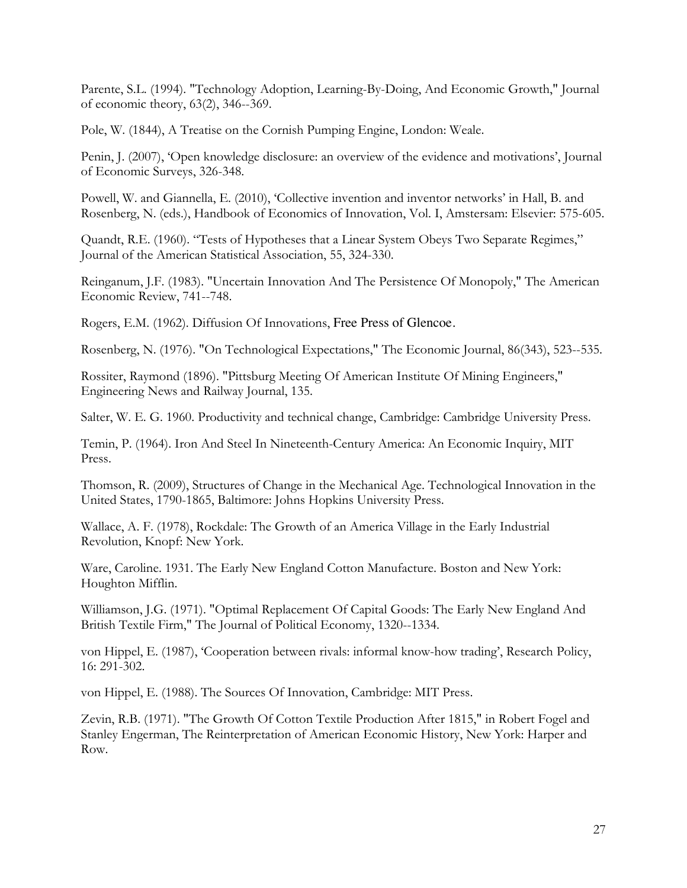Parente, S.L. (1994). "Technology Adoption, Learning-By-Doing, And Economic Growth," Journal of economic theory, 63(2), 346--369.

Pole, W. (1844), A Treatise on the Cornish Pumping Engine, London: Weale.

Penin, J. (2007), 'Open knowledge disclosure: an overview of the evidence and motivations', Journal of Economic Surveys, 326-348.

Powell, W. and Giannella, E. (2010), 'Collective invention and inventor networks' in Hall, B. and Rosenberg, N. (eds.), Handbook of Economics of Innovation, Vol. I, Amstersam: Elsevier: 575-605.

Quandt, R.E. (1960). "Tests of Hypotheses that a Linear System Obeys Two Separate Regimes," Journal of the American Statistical Association, 55, 324-330.

Reinganum, J.F. (1983). "Uncertain Innovation And The Persistence Of Monopoly," The American Economic Review, 741--748.

Rogers, E.M. (1962). Diffusion Of Innovations, Free Press of Glencoe.

Rosenberg, N. (1976). "On Technological Expectations," The Economic Journal, 86(343), 523--535.

Rossiter, Raymond (1896). "Pittsburg Meeting Of American Institute Of Mining Engineers," Engineering News and Railway Journal, 135.

Salter, W. E. G. 1960. Productivity and technical change, Cambridge: Cambridge University Press.

Temin, P. (1964). Iron And Steel In Nineteenth-Century America: An Economic Inquiry, MIT Press.

Thomson, R. (2009), Structures of Change in the Mechanical Age. Technological Innovation in the United States, 1790-1865, Baltimore: Johns Hopkins University Press.

Wallace, A. F. (1978), Rockdale: The Growth of an America Village in the Early Industrial Revolution, Knopf: New York.

Ware, Caroline. 1931. The Early New England Cotton Manufacture. Boston and New York: Houghton Mifflin.

Williamson, J.G. (1971). "Optimal Replacement Of Capital Goods: The Early New England And British Textile Firm," The Journal of Political Economy, 1320--1334.

von Hippel, E. (1987), 'Cooperation between rivals: informal know-how trading', Research Policy, 16: 291-302.

von Hippel, E. (1988). The Sources Of Innovation, Cambridge: MIT Press.

Zevin, R.B. (1971). "The Growth Of Cotton Textile Production After 1815," in Robert Fogel and Stanley Engerman, The Reinterpretation of American Economic History, New York: Harper and Row.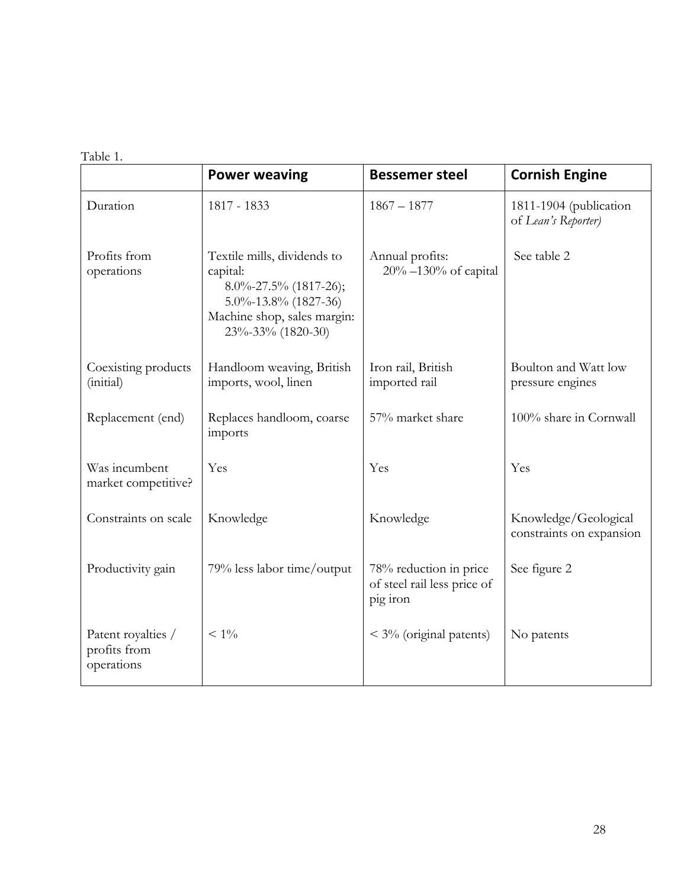Table 1.

|                                                  | <b>Power weaving</b>                                                                                                                                     | <b>Bessemer steel</b>                                             | <b>Cornish Engine</b>                            |
|--------------------------------------------------|----------------------------------------------------------------------------------------------------------------------------------------------------------|-------------------------------------------------------------------|--------------------------------------------------|
| Duration                                         | 1817 - 1833                                                                                                                                              | $1867 - 1877$                                                     | 1811-1904 (publication<br>of Lean's Reporter)    |
| Profits from<br>operations                       | Textile mills, dividends to<br>capital:<br>$8.0\% - 27.5\%$ (1817-26);<br>$5.0\% - 13.8\%$ (1827-36)<br>Machine shop, sales margin:<br>23%-33% (1820-30) | Annual profits:<br>$20\% - 130\%$ of capital                      | See table 2                                      |
| Coexisting products<br>(initial)                 | Handloom weaving, British<br>imports, wool, linen                                                                                                        | Iron rail, British<br>imported rail                               | Boulton and Watt low<br>pressure engines         |
| Replacement (end)                                | Replaces handloom, coarse<br>imports                                                                                                                     | 57% market share                                                  | 100% share in Cornwall                           |
| Was incumbent<br>market competitive?             | Yes                                                                                                                                                      | Yes                                                               | Yes                                              |
| Constraints on scale                             | Knowledge                                                                                                                                                | Knowledge                                                         | Knowledge/Geological<br>constraints on expansion |
| Productivity gain                                | 79% less labor time/output                                                                                                                               | 78% reduction in price<br>of steel rail less price of<br>pig iron | See figure 2                                     |
| Patent royalties /<br>profits from<br>operations | $< 1\%$                                                                                                                                                  | $\leq$ 3% (original patents)                                      | No patents                                       |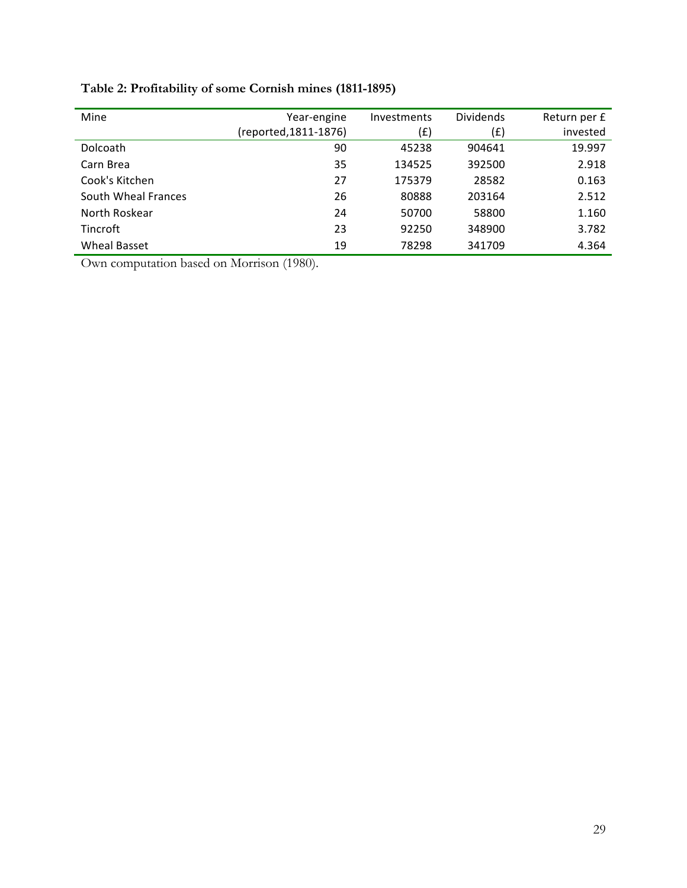| Mine                | Year-engine           | Investments | <b>Dividends</b> | Return per £ |
|---------------------|-----------------------|-------------|------------------|--------------|
|                     | (reported, 1811-1876) | (£)         | (£)              | invested     |
| <b>Dolcoath</b>     | 90                    | 45238       | 904641           | 19.997       |
| Carn Brea           | 35                    | 134525      | 392500           | 2.918        |
| Cook's Kitchen      | 27                    | 175379      | 28582            | 0.163        |
| South Wheal Frances | 26                    | 80888       | 203164           | 2.512        |
| North Roskear       | 24                    | 50700       | 58800            | 1.160        |
| <b>Tincroft</b>     | 23                    | 92250       | 348900           | 3.782        |
| Wheal Basset        | 19                    | 78298       | 341709           | 4.364        |

**Table 2: Profitability of some Cornish mines (1811-1895)**

Own computation based on Morrison (1980).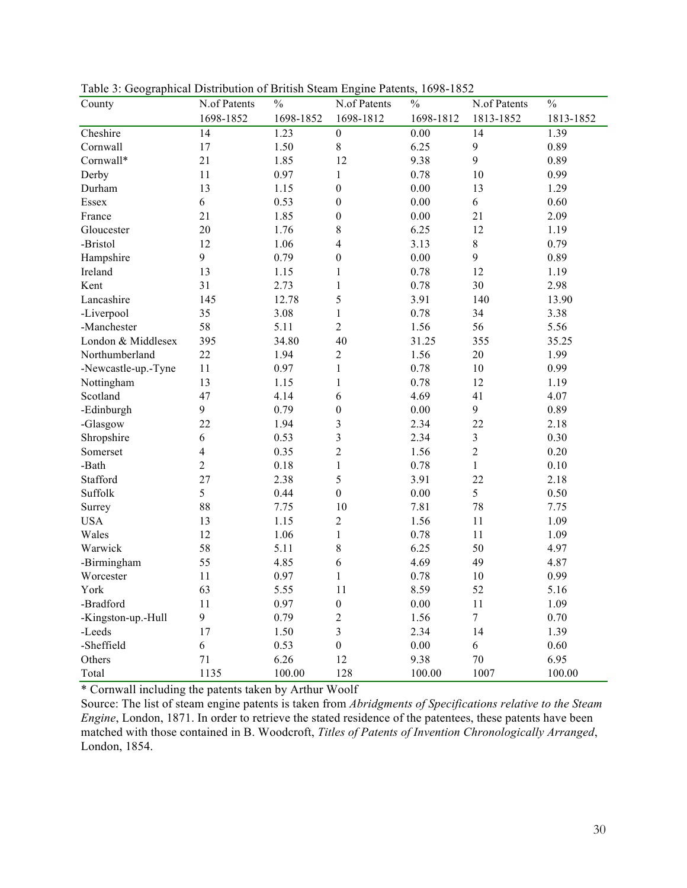| County              | N.of Patents   | $\frac{0}{0}$ | N.of Patents     | $\%$      | N.of Patents   | $\%$      |
|---------------------|----------------|---------------|------------------|-----------|----------------|-----------|
|                     | 1698-1852      | 1698-1852     | 1698-1812        | 1698-1812 | 1813-1852      | 1813-1852 |
| Cheshire            | 14             | 1.23          | $\boldsymbol{0}$ | $0.00\,$  | 14             | 1.39      |
| Cornwall            | 17             | 1.50          | $\,$ $\,$        | 6.25      | $\mathbf{9}$   | 0.89      |
| Cornwall*           | 21             | 1.85          | 12               | 9.38      | 9              | 0.89      |
| Derby               | 11             | 0.97          | 1                | 0.78      | 10             | 0.99      |
| Durham              | 13             | 1.15          | $\boldsymbol{0}$ | 0.00      | 13             | 1.29      |
| Essex               | 6              | 0.53          | $\boldsymbol{0}$ | 0.00      | 6              | 0.60      |
| France              | 21             | 1.85          | $\boldsymbol{0}$ | 0.00      | 21             | 2.09      |
| Gloucester          | 20             | 1.76          | 8                | 6.25      | 12             | 1.19      |
| -Bristol            | 12             | 1.06          | 4                | 3.13      | $\,8\,$        | 0.79      |
| Hampshire           | 9              | 0.79          | $\boldsymbol{0}$ | 0.00      | 9              | 0.89      |
| Ireland             | 13             | 1.15          | 1                | 0.78      | 12             | 1.19      |
| Kent                | 31             | 2.73          | 1                | 0.78      | 30             | 2.98      |
| Lancashire          | 145            | 12.78         | 5                | 3.91      | 140            | 13.90     |
| -Liverpool          | 35             | 3.08          | 1                | 0.78      | 34             | 3.38      |
| -Manchester         | 58             | 5.11          | $\boldsymbol{2}$ | 1.56      | 56             | 5.56      |
| London & Middlesex  | 395            | 34.80         | 40               | 31.25     | 355            | 35.25     |
| Northumberland      | 22             | 1.94          | $\sqrt{2}$       | 1.56      | 20             | 1.99      |
| -Newcastle-up.-Tyne | 11             | 0.97          | 1                | 0.78      | 10             | 0.99      |
| Nottingham          | 13             | 1.15          | 1                | 0.78      | 12             | 1.19      |
| Scotland            | 47             | 4.14          | 6                | 4.69      | 41             | 4.07      |
| -Edinburgh          | 9              | 0.79          | $\boldsymbol{0}$ | $0.00\,$  | 9              | 0.89      |
| -Glasgow            | 22             | 1.94          | $\mathfrak{Z}$   | 2.34      | 22             | 2.18      |
| Shropshire          | 6              | 0.53          | 3                | 2.34      | $\mathfrak{Z}$ | 0.30      |
| Somerset            | $\overline{4}$ | 0.35          | $\overline{c}$   | 1.56      | $\overline{c}$ | 0.20      |
| -Bath               | $\overline{2}$ | 0.18          | 1                | 0.78      | $\mathbf{1}$   | 0.10      |
| Stafford            | 27             | 2.38          | 5                | 3.91      | 22             | 2.18      |
| Suffolk             | 5              | 0.44          | $\boldsymbol{0}$ | 0.00      | 5              | 0.50      |
| Surrey              | 88             | 7.75          | 10               | 7.81      | 78             | 7.75      |
| <b>USA</b>          | 13             | 1.15          | $\overline{2}$   | 1.56      | 11             | 1.09      |
| Wales               | 12             | 1.06          | 1                | 0.78      | 11             | 1.09      |
| Warwick             | 58             | 5.11          | 8                | 6.25      | 50             | 4.97      |
| -Birmingham         | 55             | 4.85          | 6                | 4.69      | 49             | 4.87      |
| Worcester           | 11             | 0.97          | 1                | 0.78      | 10             | 0.99      |
| York                | 63             | 5.55          | 11               | 8.59      | 52             | 5.16      |
| -Bradford           | 11             | 0.97          | $\boldsymbol{0}$ | 0.00      | 11             | 1.09      |
| -Kingston-up.-Hull  | 9              | 0.79          | $\overline{c}$   | 1.56      | $\tau$         | 0.70      |
| -Leeds              | 17             | 1.50          | $\mathfrak{Z}$   | 2.34      | 14             | 1.39      |
| -Sheffield          | 6              | 0.53          | $\boldsymbol{0}$ | $0.00\,$  | 6              | 0.60      |
| Others              | 71             | 6.26          | 12               | 9.38      | $70\,$         | 6.95      |
| Total               | 1135           | 100.00        | 128              | 100.00    | 1007           | 100.00    |

Table 3: Geographical Distribution of British Steam Engine Patents, 1698-1852

\* Cornwall including the patents taken by Arthur Woolf

Source: The list of steam engine patents is taken from *Abridgments of Specifications relative to the Steam Engine*, London, 1871. In order to retrieve the stated residence of the patentees, these patents have been matched with those contained in B. Woodcroft, *Titles of Patents of Invention Chronologically Arranged*, London, 1854.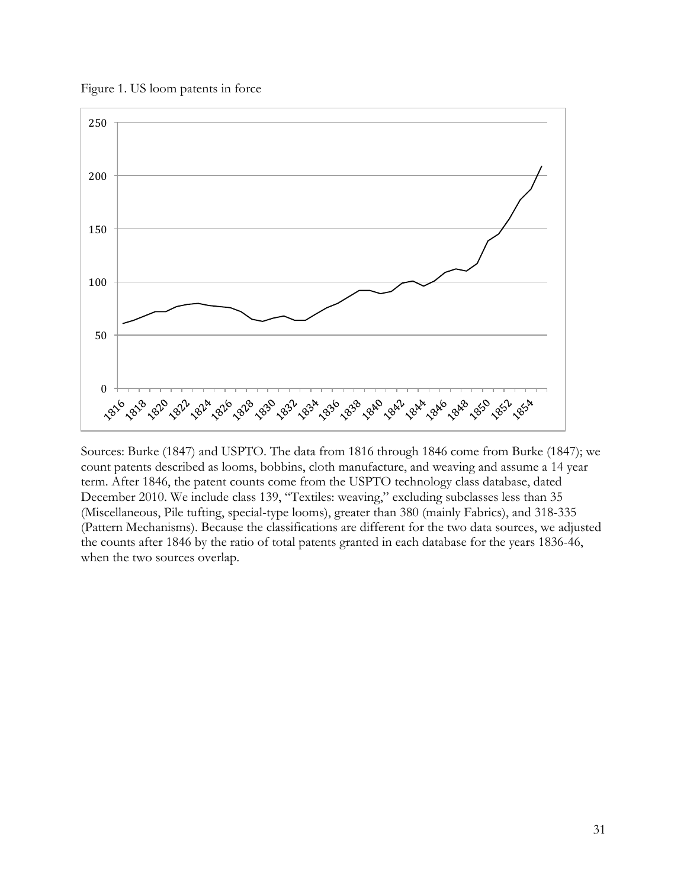Figure 1. US loom patents in force



Sources: Burke (1847) and USPTO. The data from 1816 through 1846 come from Burke (1847); we count patents described as looms, bobbins, cloth manufacture, and weaving and assume a 14 year term. After 1846, the patent counts come from the USPTO technology class database, dated December 2010. We include class 139, "Textiles: weaving," excluding subclasses less than 35 (Miscellaneous, Pile tufting, special-type looms), greater than 380 (mainly Fabrics), and 318-335 (Pattern Mechanisms). Because the classifications are different for the two data sources, we adjusted the counts after 1846 by the ratio of total patents granted in each database for the years 1836-46, when the two sources overlap.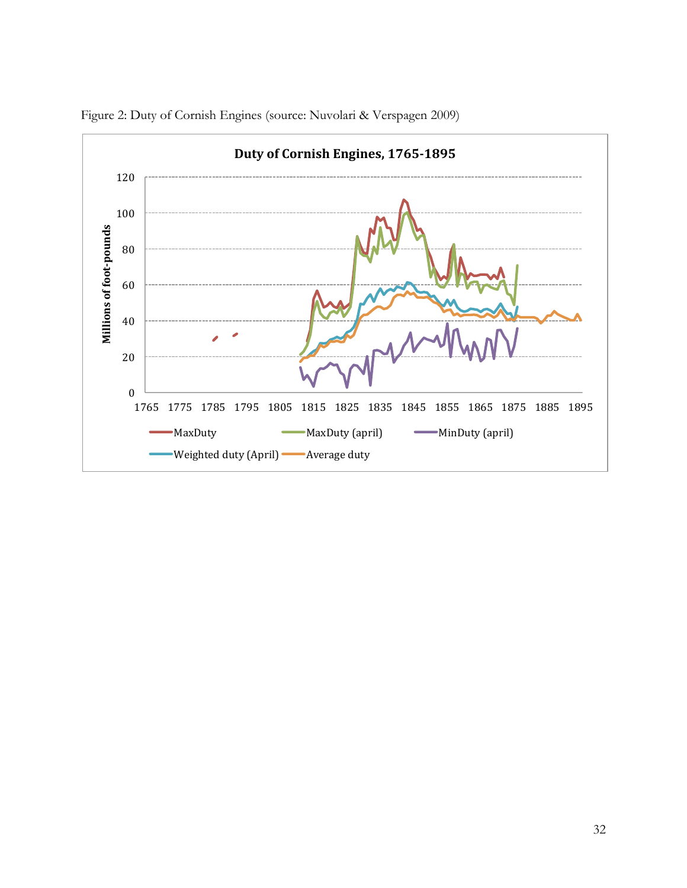

Figure 2: Duty of Cornish Engines (source: Nuvolari & Verspagen 2009)